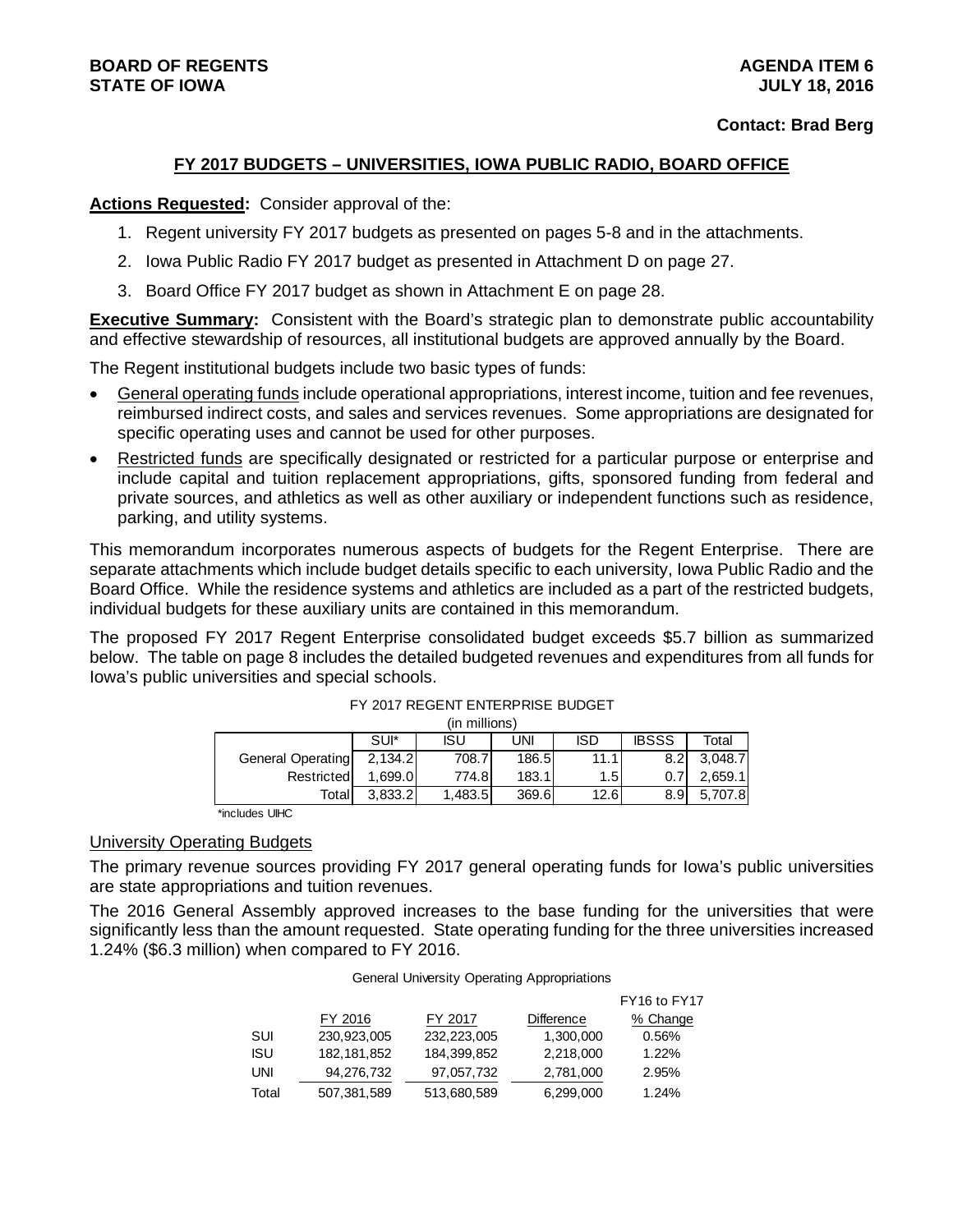#### **FY 2017 BUDGETS – UNIVERSITIES, IOWA PUBLIC RADIO, BOARD OFFICE**

#### **Actions Requested:** Consider approval of the:

- 1. Regent university FY 2017 budgets as presented on pages 5-8 and in the attachments.
- 2. Iowa Public Radio FY 2017 budget as presented in Attachment D on page 27.
- 3. Board Office FY 2017 budget as shown in Attachment E on page 28.

**Executive Summary:** Consistent with the Board's strategic plan to demonstrate public accountability and effective stewardship of resources, all institutional budgets are approved annually by the Board.

The Regent institutional budgets include two basic types of funds:

- General operating funds include operational appropriations, interest income, tuition and fee revenues, reimbursed indirect costs, and sales and services revenues. Some appropriations are designated for specific operating uses and cannot be used for other purposes.
- Restricted funds are specifically designated or restricted for a particular purpose or enterprise and include capital and tuition replacement appropriations, gifts, sponsored funding from federal and private sources, and athletics as well as other auxiliary or independent functions such as residence, parking, and utility systems.

This memorandum incorporates numerous aspects of budgets for the Regent Enterprise. There are separate attachments which include budget details specific to each university, Iowa Public Radio and the Board Office. While the residence systems and athletics are included as a part of the restricted budgets, individual budgets for these auxiliary units are contained in this memorandum.

The proposed FY 2017 Regent Enterprise consolidated budget exceeds \$5.7 billion as summarized below. The table on page 8 includes the detailed budgeted revenues and expenditures from all funds for Iowa's public universities and special schools.

|                   |         | (in millions) |       |            |              |         |
|-------------------|---------|---------------|-------|------------|--------------|---------|
|                   | SUI*    | ISU           | UNI   | <b>ISD</b> | <b>IBSSS</b> | Total   |
| General Operating | 2,134.2 | 708.7         | 186.5 | 11.1       | 8.2          | 3.048.7 |
| Restricted        | .699.01 | 774.8I        | 183.1 | 1.5        | 0.           | 2.659.1 |
| Totall            | 3.833.2 | 1,483.5       | 369.6 | 12.6       | 8.9          | 5,707.8 |

#### FY 2017 REGENT ENTERPRISE BUDGET

\*includes UIHC

#### University Operating Budgets

The primary revenue sources providing FY 2017 general operating funds for Iowa's public universities are state appropriations and tuition revenues.

The 2016 General Assembly approved increases to the base funding for the universities that were significantly less than the amount requested. State operating funding for the three universities increased 1.24% (\$6.3 million) when compared to FY 2016.

General University Operating Appropriations

|       |               |             |                   | FY16 to FY17 |
|-------|---------------|-------------|-------------------|--------------|
|       | FY 2016       | FY 2017     | <b>Difference</b> | % Change     |
| SUI   | 230.923.005   | 232,223,005 | 1,300,000         | 0.56%        |
| ISU   | 182, 181, 852 | 184,399,852 | 2,218,000         | 1.22%        |
| UNI   | 94,276,732    | 97,057,732  | 2,781,000         | 2.95%        |
| Total | 507,381,589   | 513,680,589 | 6,299,000         | 1.24%        |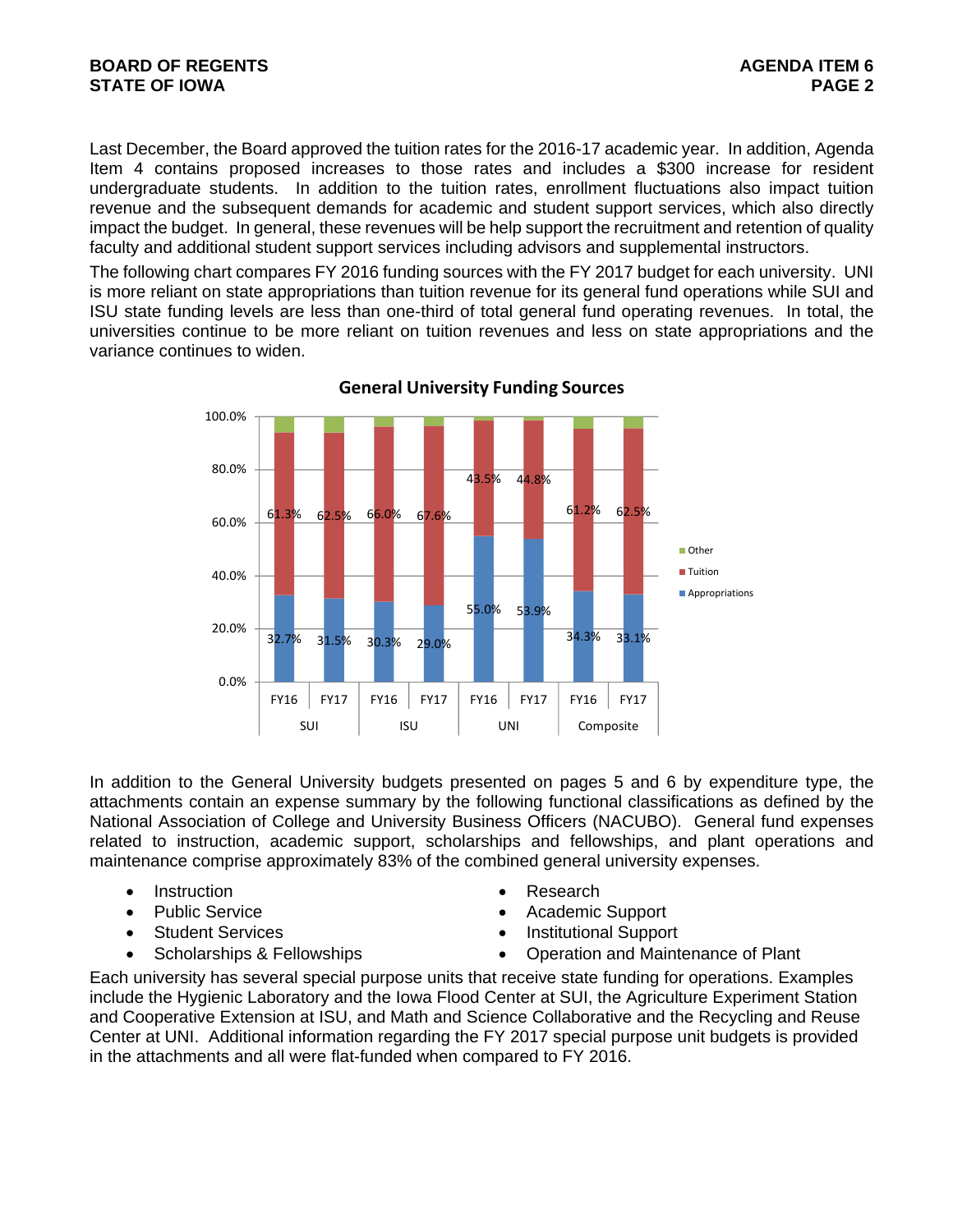#### **BOARD OF REGENTS AGENTS** AGENERATION OF REGENTS **STATE OF IOWA** PAGE 2

Last December, the Board approved the tuition rates for the 2016-17 academic year. In addition, Agenda Item 4 contains proposed increases to those rates and includes a \$300 increase for resident undergraduate students. In addition to the tuition rates, enrollment fluctuations also impact tuition revenue and the subsequent demands for academic and student support services, which also directly impact the budget. In general, these revenues will be help support the recruitment and retention of quality faculty and additional student support services including advisors and supplemental instructors.

The following chart compares FY 2016 funding sources with the FY 2017 budget for each university. UNI is more reliant on state appropriations than tuition revenue for its general fund operations while SUI and ISU state funding levels are less than one-third of total general fund operating revenues. In total, the universities continue to be more reliant on tuition revenues and less on state appropriations and the variance continues to widen.



**General University Funding Sources**

In addition to the General University budgets presented on pages 5 and 6 by expenditure type, the attachments contain an expense summary by the following functional classifications as defined by the National Association of College and University Business Officers (NACUBO). General fund expenses related to instruction, academic support, scholarships and fellowships, and plant operations and maintenance comprise approximately 83% of the combined general university expenses.

- Instruction **Contract Contract Contract Contract Contract Contract Contract Contract Contract Contract Contract Contract Contract Contract Contract Contract Contract Contract Contract Contract Contract Contract Contract**
- 
- 
- 
- 
- Public Service **Academic Support** 
	- Student Services **Institutional Support**
	- Scholarships & Fellowships  $\bullet$  Operation and Maintenance of Plant

Each university has several special purpose units that receive state funding for operations. Examples include the Hygienic Laboratory and the Iowa Flood Center at SUI, the Agriculture Experiment Station and Cooperative Extension at ISU, and Math and Science Collaborative and the Recycling and Reuse Center at UNI. Additional information regarding the FY 2017 special purpose unit budgets is provided in the attachments and all were flat-funded when compared to FY 2016.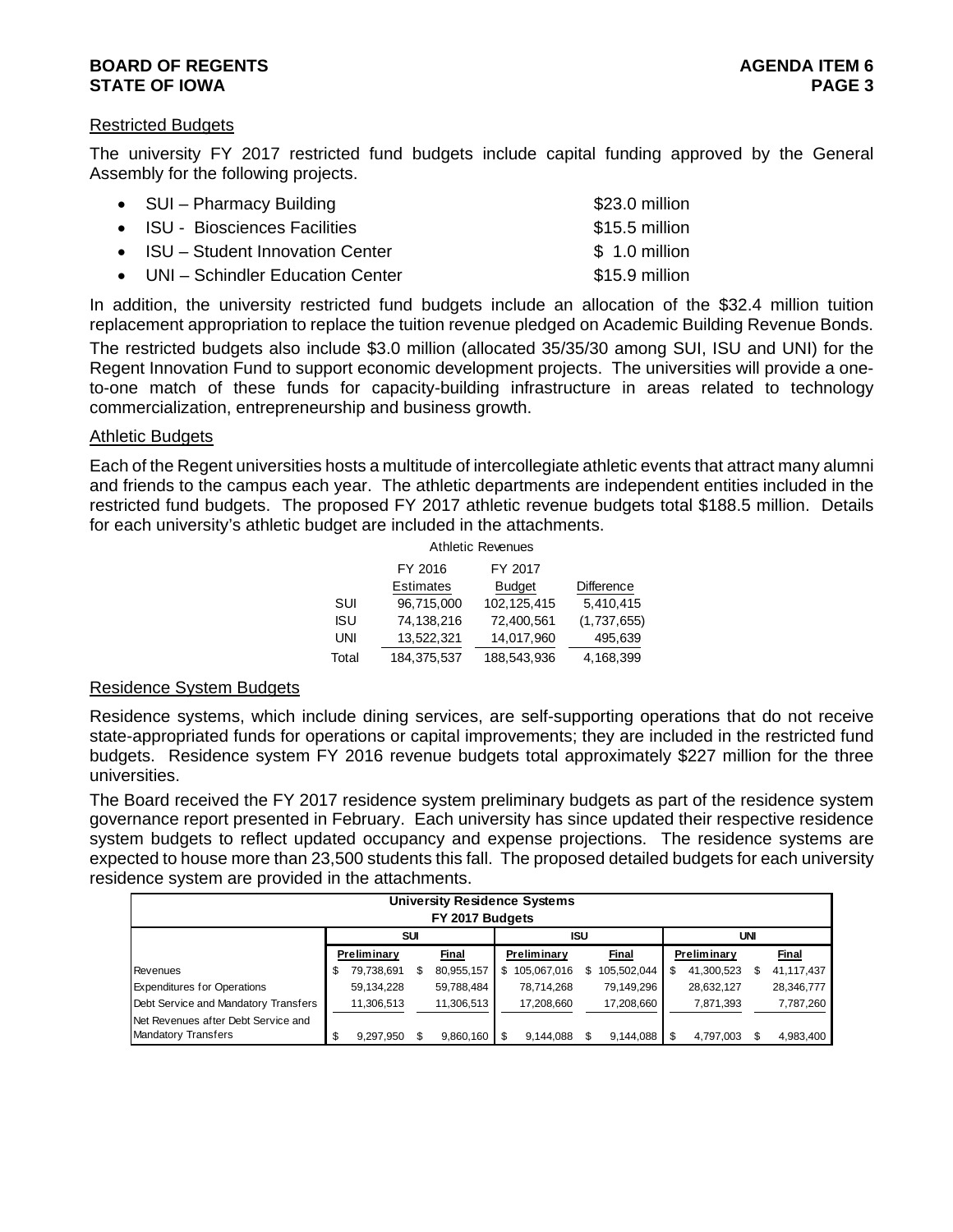#### **BOARD OF REGENTS** AGENERATION OF REGENTS AGENERATION OF REGENTS AGENERATION OF REGENTS AGENERATION OF REGENTS AGENERATION OF REGENTS AGENERATION OF REGENTS AGENERATION OF REGENTS AGENERATION OF REGENTS AGENERATION OF REGE **STATE OF IOWA** PAGE 3

#### Restricted Budgets

The university FY 2017 restricted fund budgets include capital funding approved by the General Assembly for the following projects.

| • SUI - Pharmacy Building          | \$23.0 million |
|------------------------------------|----------------|
| • ISU - Biosciences Facilities     | \$15.5 million |
| • ISU – Student Innovation Center  | $$1.0$ million |
| • UNI – Schindler Education Center | \$15.9 million |

In addition, the university restricted fund budgets include an allocation of the \$32.4 million tuition replacement appropriation to replace the tuition revenue pledged on Academic Building Revenue Bonds.

The restricted budgets also include \$3.0 million (allocated 35/35/30 among SUI, ISU and UNI) for the Regent Innovation Fund to support economic development projects. The universities will provide a oneto-one match of these funds for capacity-building infrastructure in areas related to technology commercialization, entrepreneurship and business growth.

#### Athletic Budgets

Each of the Regent universities hosts a multitude of intercollegiate athletic events that attract many alumni and friends to the campus each year. The athletic departments are independent entities included in the restricted fund budgets. The proposed FY 2017 athletic revenue budgets total \$188.5 million. Details for each university's athletic budget are included in the attachments.

|            |                  | <b>Athletic Revenues</b> |             |
|------------|------------------|--------------------------|-------------|
|            | FY 2016          | FY 2017                  |             |
|            | <b>Estimates</b> | <b>Budget</b>            | Difference  |
| SUI        | 96,715,000       | 102, 125, 415            | 5,410,415   |
| <b>ISU</b> | 74,138,216       | 72,400,561               | (1,737,655) |
| UNI        | 13,522,321       | 14,017,960               | 495,639     |
| Total      | 184,375,537      | 188.543.936              | 4.168.399   |

#### Residence System Budgets

Residence systems, which include dining services, are self-supporting operations that do not receive state-appropriated funds for operations or capital improvements; they are included in the restricted fund budgets. Residence system FY 2016 revenue budgets total approximately \$227 million for the three universities.

The Board received the FY 2017 residence system preliminary budgets as part of the residence system governance report presented in February. Each university has since updated their respective residence system budgets to reflect updated occupancy and expense projections. The residence systems are expected to house more than 23,500 students this fall. The proposed detailed budgets for each university residence system are provided in the attachments.

|                                      |   |             |            | <b>University Residence Systems</b><br>FY 2017 Budgets |    |             |     |             |             |            |            |
|--------------------------------------|---|-------------|------------|--------------------------------------------------------|----|-------------|-----|-------------|-------------|------------|------------|
|                                      |   |             | <b>SUI</b> |                                                        |    |             | ISU |             |             | <b>UNI</b> |            |
|                                      |   | Preliminary |            | Final                                                  |    | Preliminary |     | Final       | Preliminary |            | Final      |
| Revenues                             | S | 79,738,691  |            | 80,955,157                                             | S. | 105,067,016 | S.  | 105,502,044 | 41,300,523  |            | 41,117,437 |
| <b>Expenditures for Operations</b>   |   | 59,134,228  |            | 59,788,484                                             |    | 78,714,268  |     | 79.149.296  | 28,632,127  |            | 28,346,777 |
| Debt Service and Mandatory Transfers |   | 11,306,513  |            | 11,306,513                                             |    | 17,208,660  |     | 17,208,660  | 7,871,393   |            | 7,787,260  |
| Net Revenues after Debt Service and  |   |             |            |                                                        |    |             |     |             |             |            |            |
| <b>Mandatory Transfers</b>           |   | 9,297,950   |            | 9.860.160                                              |    | 9.144.088   |     | 9,144,088   | 4,797,003   |            | 4,983,400  |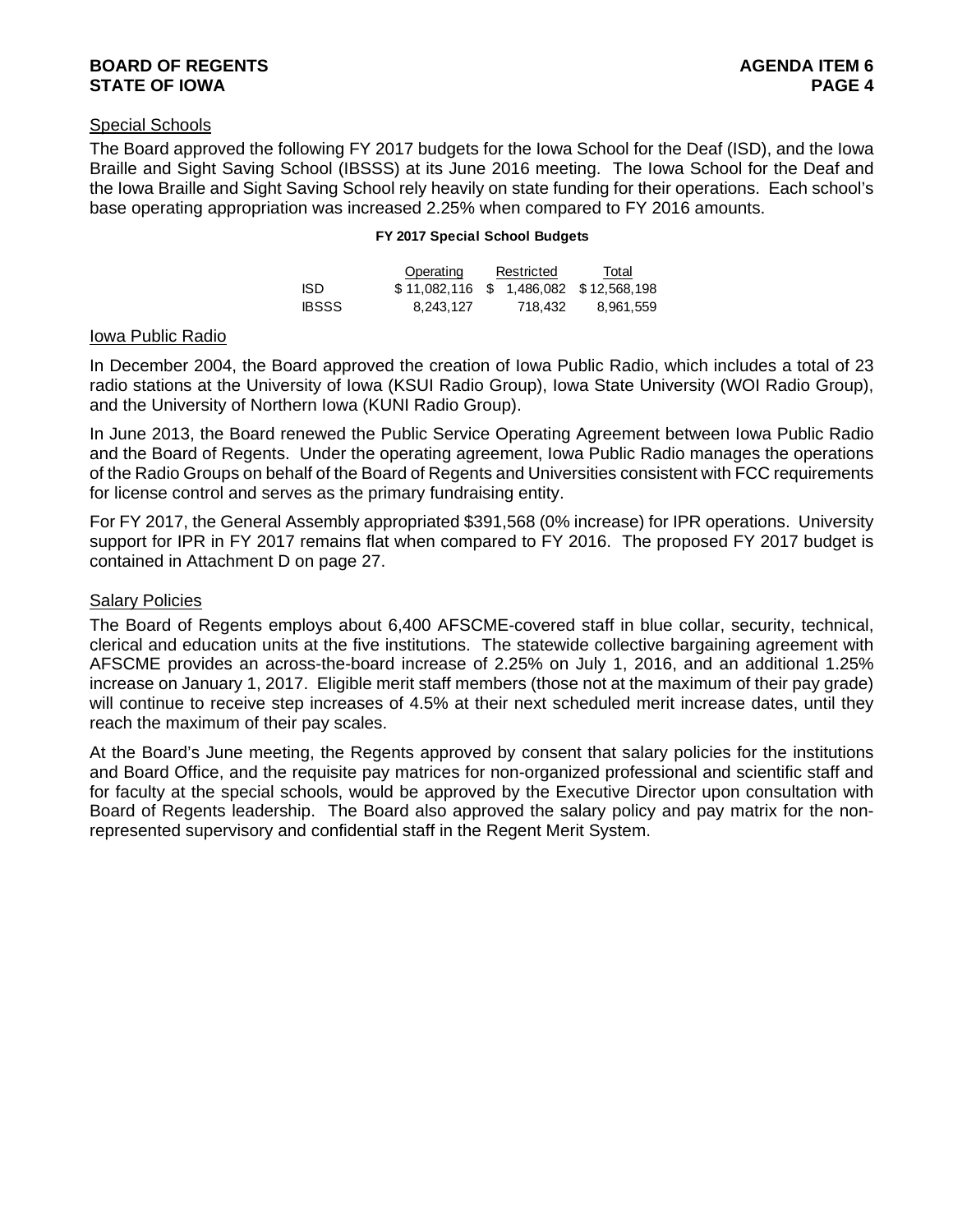#### **BOARD OF REGENTS** AGENERATION OF REGENTS AGENERATION OF REGENTS AGENERATION OF REGENTS AGENERATION OF REGENTS AGENERATION OF REGENTS AGENERATION OF REGENTS AGENERATION OF REGENTS AGENERATION OF REGENTS AGENERATION OF REGE **STATE OF IOWA** PAGE 4

#### Special Schools

The Board approved the following FY 2017 budgets for the Iowa School for the Deaf (ISD), and the Iowa Braille and Sight Saving School (IBSSS) at its June 2016 meeting. The Iowa School for the Deaf and the Iowa Braille and Sight Saving School rely heavily on state funding for their operations. Each school's base operating appropriation was increased 2.25% when compared to FY 2016 amounts.

#### **FY 2017 Special School Budgets**

|              | Operating                             | Restricted | Total     |
|--------------|---------------------------------------|------------|-----------|
| ISD.         | \$11,082,116 \$1,486,082 \$12,568,198 |            |           |
| <b>IBSSS</b> | 8.243.127                             | 718.432    | 8.961.559 |

#### Iowa Public Radio

In December 2004, the Board approved the creation of Iowa Public Radio, which includes a total of 23 radio stations at the University of Iowa (KSUI Radio Group), Iowa State University (WOI Radio Group), and the University of Northern Iowa (KUNI Radio Group).

In June 2013, the Board renewed the Public Service Operating Agreement between Iowa Public Radio and the Board of Regents. Under the operating agreement, Iowa Public Radio manages the operations of the Radio Groups on behalf of the Board of Regents and Universities consistent with FCC requirements for license control and serves as the primary fundraising entity.

For FY 2017, the General Assembly appropriated \$391,568 (0% increase) for IPR operations. University support for IPR in FY 2017 remains flat when compared to FY 2016. The proposed FY 2017 budget is contained in Attachment D on page 27.

#### Salary Policies

The Board of Regents employs about 6,400 AFSCME-covered staff in blue collar, security, technical, clerical and education units at the five institutions. The statewide collective bargaining agreement with AFSCME provides an across-the-board increase of 2.25% on July 1, 2016, and an additional 1.25% increase on January 1, 2017. Eligible merit staff members (those not at the maximum of their pay grade) will continue to receive step increases of 4.5% at their next scheduled merit increase dates, until they reach the maximum of their pay scales.

At the Board's June meeting, the Regents approved by consent that salary policies for the institutions and Board Office, and the requisite pay matrices for non-organized professional and scientific staff and for faculty at the special schools, would be approved by the Executive Director upon consultation with Board of Regents leadership. The Board also approved the salary policy and pay matrix for the nonrepresented supervisory and confidential staff in the Regent Merit System.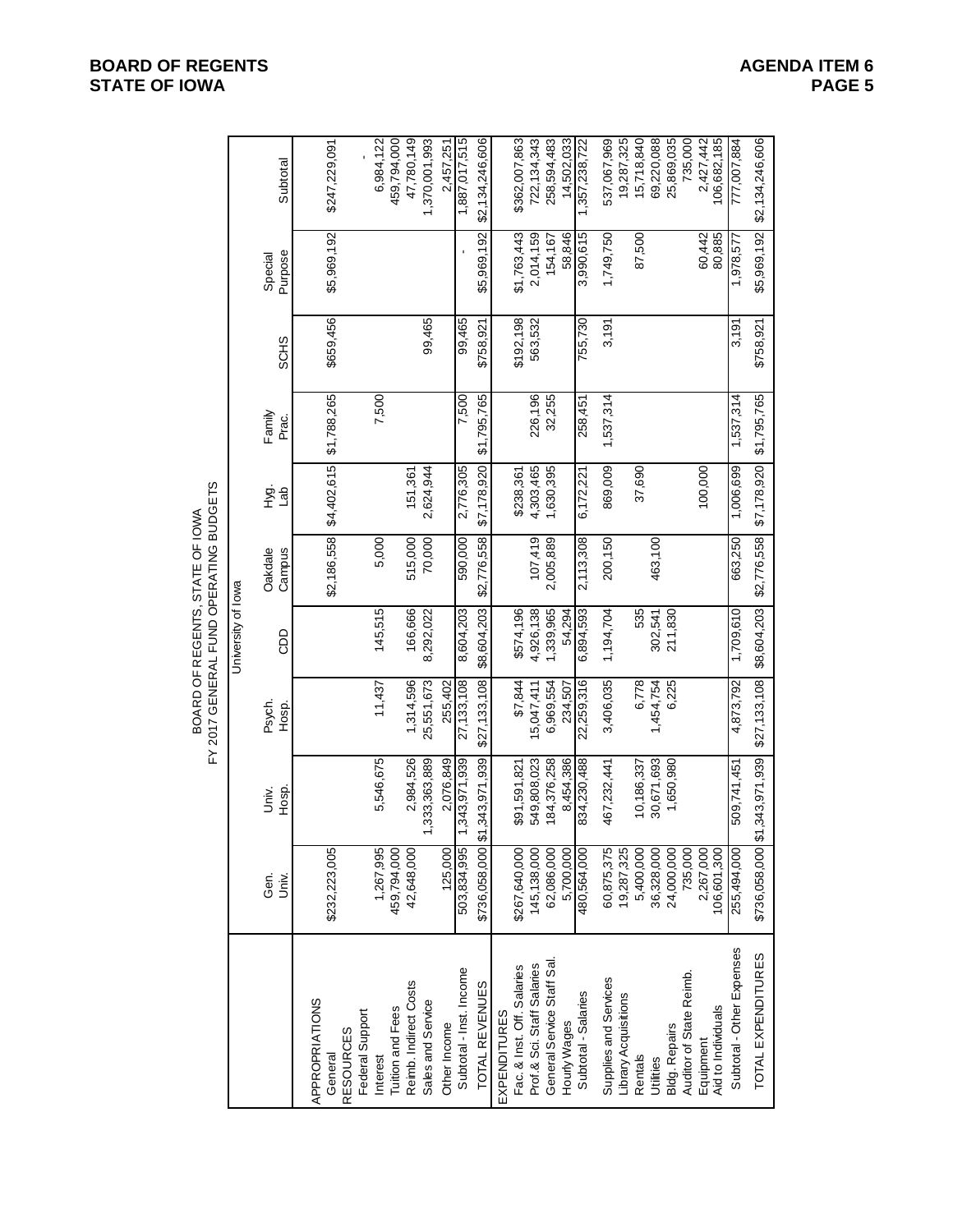|                           |                | FY 2017 GENERAL FUND OPERATING BUDGETS |                    | BOARD OF REGENTS, STATE OF IOWA |               |                 |             |                    |                           |
|---------------------------|----------------|----------------------------------------|--------------------|---------------------------------|---------------|-----------------|-------------|--------------------|---------------------------|
|                           |                |                                        | University of lowa |                                 |               |                 |             |                    |                           |
| Gen.<br>Univ.             | Hosp.<br>Univ. | Psych.<br>Hosp.                        | <b>GDD</b>         | Campus<br>Oakdale               | 호.<br>그룹<br>니 | Family<br>Prac. | <b>SCHS</b> | Purpose<br>Special | Subtotal                  |
| \$232,223,005             |                |                                        |                    | \$2,186,558                     | \$4,402,615   | \$1,788,265     | \$659,456   | \$5,969,192        | \$247,229,091             |
|                           |                |                                        |                    |                                 |               |                 |             |                    |                           |
| 1,267,995                 | 5,546,675      | 11,437                                 | 145,515            | 5,000                           |               | 7,500           |             |                    | 6,984,122                 |
| 459,794,000<br>42,648,000 | 2,984,526      | 1,314,596                              | 166,666            | 515,000                         | 151.361       |                 |             |                    | 459,794,000<br>47,780,149 |
|                           | ,333,363,889   | 25,551,673                             | 8,292,022          | 70,000                          | 2,624,944     |                 | 99,465      |                    | 1,370,001,993             |
| 125,000                   | 2,076,849      | 255,402                                |                    |                                 |               |                 |             |                    | 2,457,251                 |
| 503,834,995               | ,343,971,939   | 27,133,108                             | 8,604,203          | 590,000                         | 2,776,305     | 7,500           | 99,465      |                    | 1,887,017,515             |
| \$736,058,000 \$1         | ,343,971,939   | \$27,133,108                           | \$8,604,203        | \$2,776,558                     | \$7,178,920   | \$1,795,765     | \$758,921   | \$5,969,192        | \$2,134,246,606           |
|                           |                |                                        |                    |                                 |               |                 |             |                    |                           |
| \$267,640,000             | \$91,591,821   | \$7,844                                | \$574,196          |                                 | \$238,361     |                 | \$192,198   | \$1,763,443        | \$362,007,863             |
| 145,138,000               | 549,808,023    | 15,047,411                             | 4,926,138          | 107,419                         | 4,303,465     | 226,196         | 563,532     | 2,014,159          | 722, 134, 343             |
| 62,086,000                | 184,376,258    | 6,969,554                              | 1,339,965          | 2,005,889                       | 1,630,395     | 32,255          |             | 154,167            | 258,594,483               |
| 5,700,000                 | 8,454,386      | 234,507                                | 54.294             |                                 |               |                 |             | 58,846             | 14,502,033                |
| 480,564,000               | 834,230,488    | 22,259,316                             | 6,894,593          | 2,113,308                       | 6,172,221     | 258,451         | 755,730     | 3,990,615          | 1, 357, 238, 722          |
| 60,875,375                | 467,232,441    | 3,406,035                              | 1,194,704          | 200,150                         | 869,009       | 1,537,314       | 3,191       | 1,749,750          | 537,067,969               |
| 19,287,325                |                |                                        |                    |                                 |               |                 |             |                    | 19,287,325                |
| 5,400,000                 | 10,186,337     | 6,778                                  | 535                |                                 | 37,690        |                 |             | 87,500             | 15,718,840                |
| 36,328,000                | 30,671,693     | 1,454,754                              | 302,541            | 463,100                         |               |                 |             |                    | 69,220,088                |
| 24,000,000                | 1,650,980      | 6,225                                  | 211,830            |                                 |               |                 |             |                    | 25,869,035                |
| 735,000                   |                |                                        |                    |                                 |               |                 |             |                    | 735,000                   |
| 106,601,300<br>2,267,000  |                |                                        |                    |                                 | 100,000       |                 |             | 80,885<br>60,442   | 2,427,442<br>106,682,185  |
|                           |                |                                        |                    |                                 |               |                 |             |                    |                           |
| 255,494,000               | 509,741,451    | 4,873,792                              | 1,709,610          | 663,250                         | 1,006,699     | 1,537,314       | 3,191       | 1,978,577          | 777,007,884               |
| \$736,058,000 \$1         | ,343,971,939   | \$27,133,108                           | \$8,604,203        | \$2,776,558                     | \$7,178,920   | \$1,795,765     | \$758,921   | \$5,969,192        | \$2,134,246,606           |

#### **BOARD OF REGENTS**<br> **BOARD OF REGENTS**<br> **BOARD OF IOWA**<br>
PAGE 5 **STATE OF IOWA**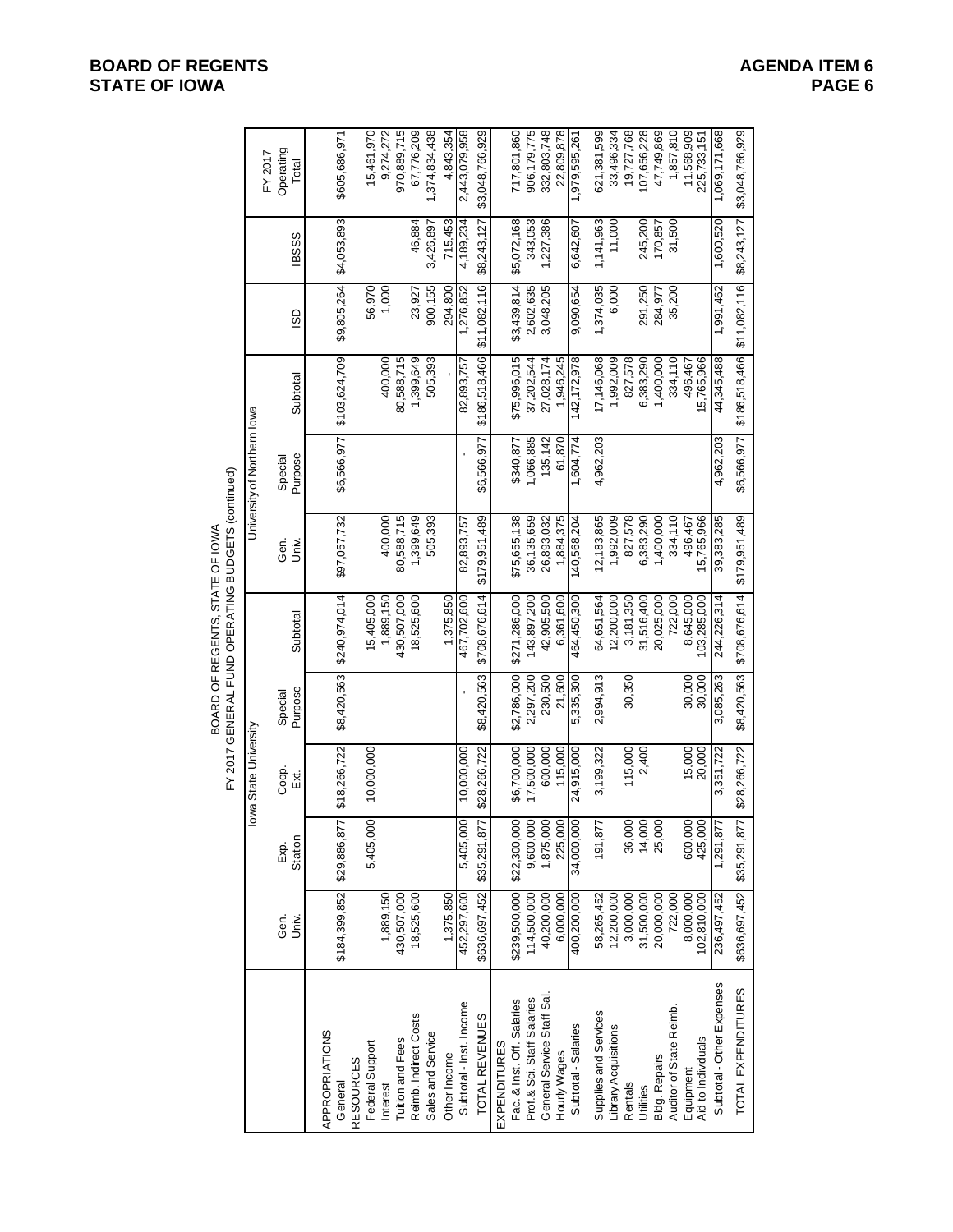# BOARD OF REGENTS, STATE OF IOWA

|                                                   |                          |                    |                      |                    | BOARD OF REGENTS, STATE OF IOWA | FY 2017 GENERAL FUND OPERATING BUDGETS (continued) |                             |                            |                 |              |                               |
|---------------------------------------------------|--------------------------|--------------------|----------------------|--------------------|---------------------------------|----------------------------------------------------|-----------------------------|----------------------------|-----------------|--------------|-------------------------------|
|                                                   |                          |                    | owa State University |                    |                                 |                                                    | University of Northern lowa |                            |                 |              |                               |
|                                                   | Gen.<br>Univ.            | Station<br>Exp.    | Coop.<br>Ex.         | Purpose<br>Special | Subtotal                        | Gen.<br>Univ.                                      | Purpose<br>Special          | Subtotal                   | GO              | <b>IBSSS</b> | Operating<br>FY 2017<br>Total |
| APPROPRIATIONS<br>General                         | \$184,399,852            | \$29,886,87        | \$18,266,722         | \$8,420,563        | \$240,974,014                   | \$97,057,732                                       | \$6,566,977                 | \$103,624,709              | \$9,805,264     | \$4,053,893  | \$605,686,971                 |
| <b>RESOURCES</b>                                  |                          |                    |                      |                    |                                 |                                                    |                             |                            |                 |              |                               |
| Federal Support<br>Interest                       | 1,889,150                | 5,405,000          | 10,000,000           |                    | 15,405,000<br>1,889,150         | 400,000                                            |                             | 400,000                    | 56,970<br>1,000 |              | 15,461,970<br>9,274,272       |
| <b>Tuition and Fees</b>                           | 430,507,000              |                    |                      |                    | 430,507,000                     | 80,588,715                                         |                             | 80,588,715                 |                 |              | 970,889,715                   |
| Reimb. Indirect Costs                             | 18,525,600               |                    |                      |                    | 18,525,600                      | 1,399,649                                          |                             | 1,399,649                  | 23,927          | 46,884       | 67,776,209                    |
| Sales and Service                                 |                          |                    |                      |                    |                                 | 505,393                                            |                             | 505,393                    | 900,155         | 3,426,897    | 1,374,834,438                 |
| Other Income                                      | 1,375,850                |                    |                      |                    | 1,375,850                       |                                                    |                             |                            | 294,800         | 715,453      | 4,843,354                     |
| Subtotal - Inst. Income                           | 452,297,600              | 5,405,000          | 10,000,000           |                    | 467,702,600                     | 82,893,757                                         |                             | 82,893,757                 | 1,276,852       | 4,189,234    | 2,443,079,958                 |
| TOTAL REVENUES                                    | \$636,697,452            | \$35,291,87        | \$28,266,722         | \$8,420,563        | \$708,676,614                   | \$179,951,489                                      | \$6,566,977                 | \$186,518,466              | \$11,082,116    | \$8,243,127  | \$3,048,766,929               |
| Fac. & Inst. Off. Salaries<br><b>EXPENDITURES</b> | \$239,500,000            | \$22,300,000       | \$6,700,000          | \$2,786,000        | \$271,286,000                   | \$75,655,138                                       | \$340,877                   | \$75,996,015               | \$3,439,814     | \$5,072,168  | 717,801,860                   |
| Prof.& Sci. Staff Salaries                        | 114,500,000              | 9,600,000          | 17,500,000           | 2,297,200          | 143,897,200                     | 36,135,659                                         | 1,066,885                   | 37,202,544                 | 2,602,635       | 343,053      | 906,179,775                   |
| General Service Staff Sal.                        | 40,200,000               | 1,875,000          | 600,000              | 230,500            | 42,905,500                      | 26,893,032                                         | 135,142                     | 27,028,174                 | 3,048,205       | 1,227,386    | 332,803,748                   |
| Hourly Wages                                      | 6,000,000                | 225,000            | 115,000              | 21,600             | 6,361,600                       | 1,884,375                                          | 61,870                      | 1,946,245                  |                 |              | 22,809,878                    |
| Subtotal - Salaries                               | 400,200,000              | 34,000,000         | 24,915,000           | 5,335,300          | 464,450,300                     | 140,568,204                                        | 1,604,774                   | 142, 172, 978              | 9,090,654       | 6,642,607    | 1,979,595,261                 |
| Supplies and Services                             | 58,265,452               | 191,877            | 3,199,322            | 2,994,913          | 64,651,564                      | 12,183,865                                         | 4,962,203                   | 17,146,068                 | 1,374,035       | 1,141,963    | 621,381,599                   |
| Library Acquisitions                              | 12,200,000               |                    |                      |                    | 12,200,000                      | 1,992,009                                          |                             | 1,992,009                  | 6,000           | 11,000       | 33,496,334                    |
| Rentals                                           | 3,000,000                | 36,000             | 115,000              | 30,350             | 3,181,350                       | 827,578                                            |                             | 827,578                    |                 |              | 19,727,768                    |
| Utilities                                         | 31,500,000               | 14,000             | 2,400                |                    | 31,516,400                      | 6,383,290                                          |                             | 6,383,290                  | 291,250         | 245,200      | 107,656,228                   |
| <b>Bldg. Repairs</b>                              | 20,000,000               | 25,000             |                      |                    | 20,025,000                      | 1,400,000                                          |                             | 1,400,000                  | 284,977         | 170,857      | 47,749,869                    |
| Auditor of State Reimb.                           | 722,000                  |                    |                      |                    | 722,000                         | 334,110                                            |                             | 334,110                    | 35,200          | 31,500       | 1,857,810                     |
| Aid to Individuals<br>Equipment                   | 8,000,000<br>102,810,000 | 600,000<br>425,000 | 15,000<br>20,000     | 30,000<br>30,000   | 8,645,000<br>103,285,000        | 15,765,966<br>496,467                              |                             | 15,765,966<br>496,467      |                 |              | 11,568,909<br>225,733,151     |
| Subtotal - Other Expenses                         | 236,497,452              | 1,291,877          | 3,351,722            | 3,085,263          | 244,226,314                     | 39,383,285                                         | 4,962,203                   | 44,345,488                 | 1,991,462       | 1,600,520    | 1,069,171,668                 |
| TOTAL EXPENDITURES                                | \$636,697,452            | \$35,291,87        | \$28,266,722         | \$8,420,563        | \$708,676,614                   | \$179,951,489                                      | \$6,566,977                 | \$186,518,466 \$11,082,116 |                 | \$8,243,127  | \$3,048,766,929               |

**BOARD OF REGENTS**<br> **BOARD OF REGENTS**<br> **BOARD OF IOWA**<br>
PAGE 6 **STATE OF IOWA**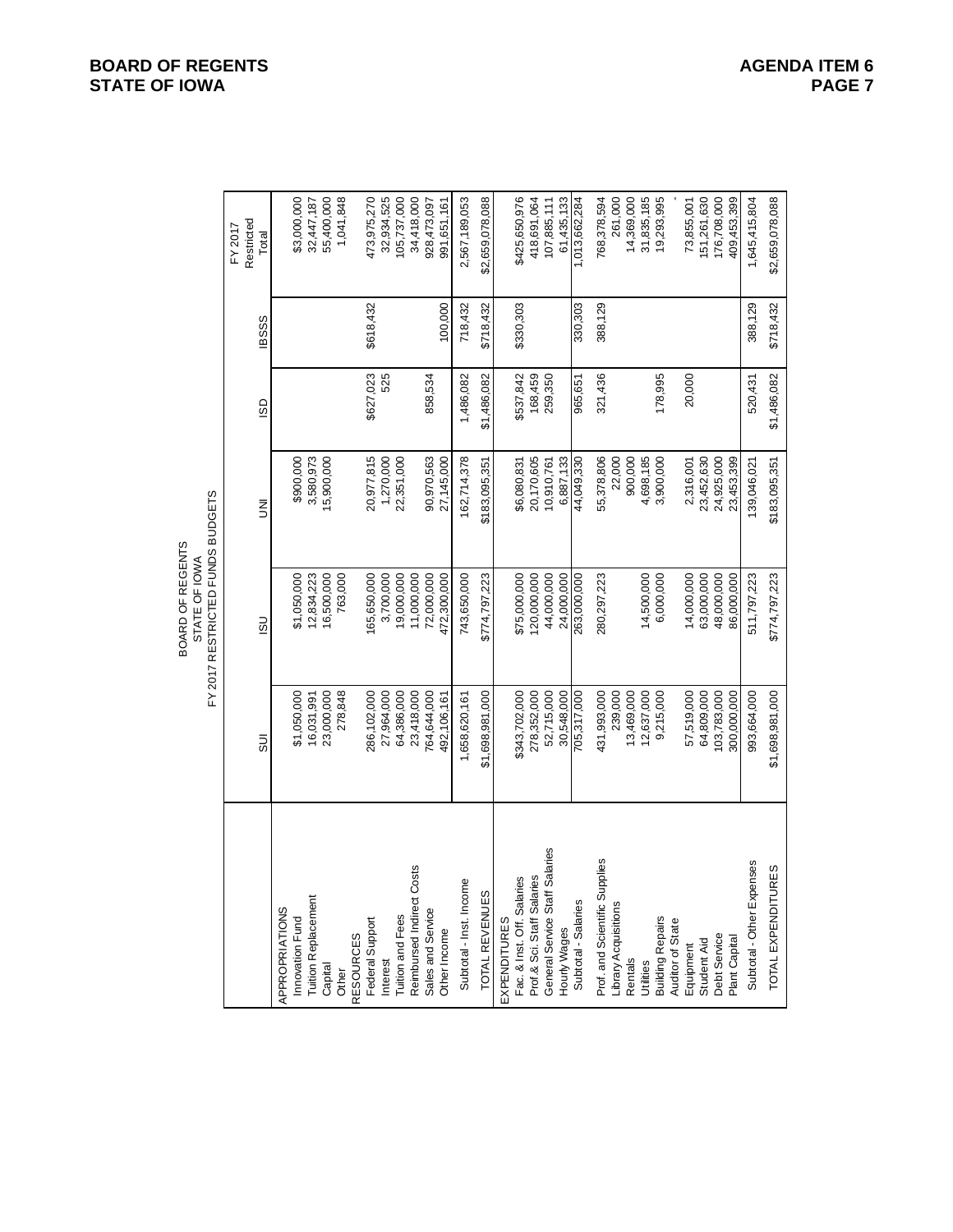|              | Restricted<br>FY 2017<br>Total | \$3,000,000<br>1,041,848<br>55,400,000<br>32,447,187 | 473,975,270<br>32,934,525<br>105,737,000 | 34,418,000<br>928,473,097<br>991,651,161 | 2,567,189,053<br>\$2,659,078,088 | \$425,650,976<br>418,691,064<br>61,435,133<br>107,885,111 | 1,013,662,284<br>768,378,594<br>31,835,185<br>19,293,995<br>261,000<br>14,369,000 |  |
|--------------|--------------------------------|------------------------------------------------------|------------------------------------------|------------------------------------------|----------------------------------|-----------------------------------------------------------|-----------------------------------------------------------------------------------|--|
|              | <b>IBSSS</b>                   |                                                      | \$618,432                                | 100.000                                  | \$718,432<br>718,432             | \$330,303                                                 | 388,129<br>330,303                                                                |  |
|              | GD                             |                                                      | \$627,023<br>525                         | 858,534                                  | 1,486,082<br>\$1,486,082         | 168,459<br>259,350<br>\$537,842                           | 321,436<br>178,995<br>965,651                                                     |  |
| <b>DGETS</b> | Š                              | \$900,000<br>3,580,973<br>15,900,000                 | 20,977,815<br>1,270,000<br>22,351,000    | 90,970,563<br>27,145,000                 | 162,714,378<br>\$183,095,351     | 20,170,605<br>6,887,133<br>\$6,080,831<br>10,910,761      | 55,378,806<br>22,000<br>900,000<br>3,900,000<br>44,049,330<br>4,698,185           |  |

|                                                                       | Restricted<br>FY 2017<br>Total | \$3,000,000<br>55,400,000<br>1,041,848<br>32,447,187                                | 473,975,270<br>32,934,525<br>34,418,000<br>105,737,000<br>928,473,097<br>991,651,161                                                  | 2,567,189,053<br>\$2,659,078,088          | 61,435,133<br>1,013,662,284<br>\$425,650,976<br>418,691,064<br>107,885,111                                                                                | 261,000<br>14,369,000<br>31,835,185<br>151,261,630<br>176,708,000<br>768,378,594<br>19,293,995<br>73,855,001<br>409,453,399                                                               | \$2,659,078,088<br>1,645,415,804                |
|-----------------------------------------------------------------------|--------------------------------|-------------------------------------------------------------------------------------|---------------------------------------------------------------------------------------------------------------------------------------|-------------------------------------------|-----------------------------------------------------------------------------------------------------------------------------------------------------------|-------------------------------------------------------------------------------------------------------------------------------------------------------------------------------------------|-------------------------------------------------|
|                                                                       | <b>IBSSS</b>                   |                                                                                     | \$618,432<br>100,000                                                                                                                  | \$718,432<br>718,432                      | \$330,303<br>330,303                                                                                                                                      | 388,129                                                                                                                                                                                   | \$718,432<br>388,129                            |
|                                                                       | GSI                            |                                                                                     | \$627,023<br>525<br>858,534                                                                                                           | 1,486,082<br>\$1,486,082                  | 168,459<br>\$537,842<br>259,350<br>965,651                                                                                                                | 178,995<br>321,436<br>20,000                                                                                                                                                              | \$1,486,082<br>520,431                          |
|                                                                       | Ξ                              | 3,580,973<br>\$900,000<br>15,900,000                                                | 20,977,815<br>1,270,000<br>90,970,563<br>22,351,000<br>27,145,000                                                                     | 162,714,378<br>\$183,095,351              | 20,170,605<br>6,887,133<br>44,049,330<br>10,910,761<br>\$6,080,831                                                                                        | 23,453,399<br>55,378,806<br>22,000<br>900,000<br>4,698,185<br>23,452,630<br>24,925,000<br>3,900,000<br>2,316,001                                                                          | \$183,095,351<br>139,046,021                    |
| FY 2017 RESTRICTED FUNDS BUDGETS<br>BOARD OF REGENTS<br>STATE OF IOWA | SU                             | 12,834,223<br>16,500,000<br>\$1,050,000<br>763,000                                  | 165,650,000<br>3,700,000<br>19,000,000<br>11,000,000<br>72,000,000<br>472,300,000                                                     | 743,650,000<br>\$774,797,223              | 120,000,000<br>44,000,000<br>263,000,000<br>\$75,000,000<br>24,000,000                                                                                    | 14,500,000<br>14,000,000<br>63,000,000<br>48,000,000<br>280,297,223<br>6,000,000<br>86,000,000                                                                                            | \$774,797,223<br>511,797,223                    |
|                                                                       | $\overline{5}$                 | \$1,050,000<br>23,000,000<br>278,848<br>16,031,991                                  | 286,102,000<br>27,964,000<br>64,386,000<br>23,418,000<br>764,644,000<br>492,106,161                                                   | \$1,698,981,000<br>1,658,620,161          | 278,352,000<br>52,715,000<br>\$343,702,000<br>30,548,000<br>705,317,000                                                                                   | 431,993,000<br>239,000<br>13,469,000<br>57,519,000<br>64,809,000<br>103,783,000<br>300,000,000<br>12,637,000<br>9,215,000                                                                 | \$1,698,981,000<br>993,664,000                  |
|                                                                       |                                | <b>Tuition Replacement</b><br>APPROPRIATIONS<br>Innovation Fund<br>Capital<br>Other | Reimbursed Indirect Costs<br>Sales and Service<br>Tuition and Fees<br>Federal Support<br>Other Income<br><b>RESOURCES</b><br>Interest | Subtotal - Inst. Income<br>TOTAL REVENUES | Salaries<br>Prof.& Sci. Staff Salaries<br>Səl<br>Fac. & Inst. Off. Salari<br>General Service Staff<br>Subtotal - Salaries<br>EXPENDITURES<br>Hourly Wages | Prof. and Scientific Supplies<br>Library Acquisitions<br><b>Building Repairs</b><br>Auditor of State<br>Debt Service<br>Plant Capital<br>Student Aid<br>Equipment<br>Rentals<br>Utilities | Subtotal - Other Expenses<br>TOTAL EXPENDITURES |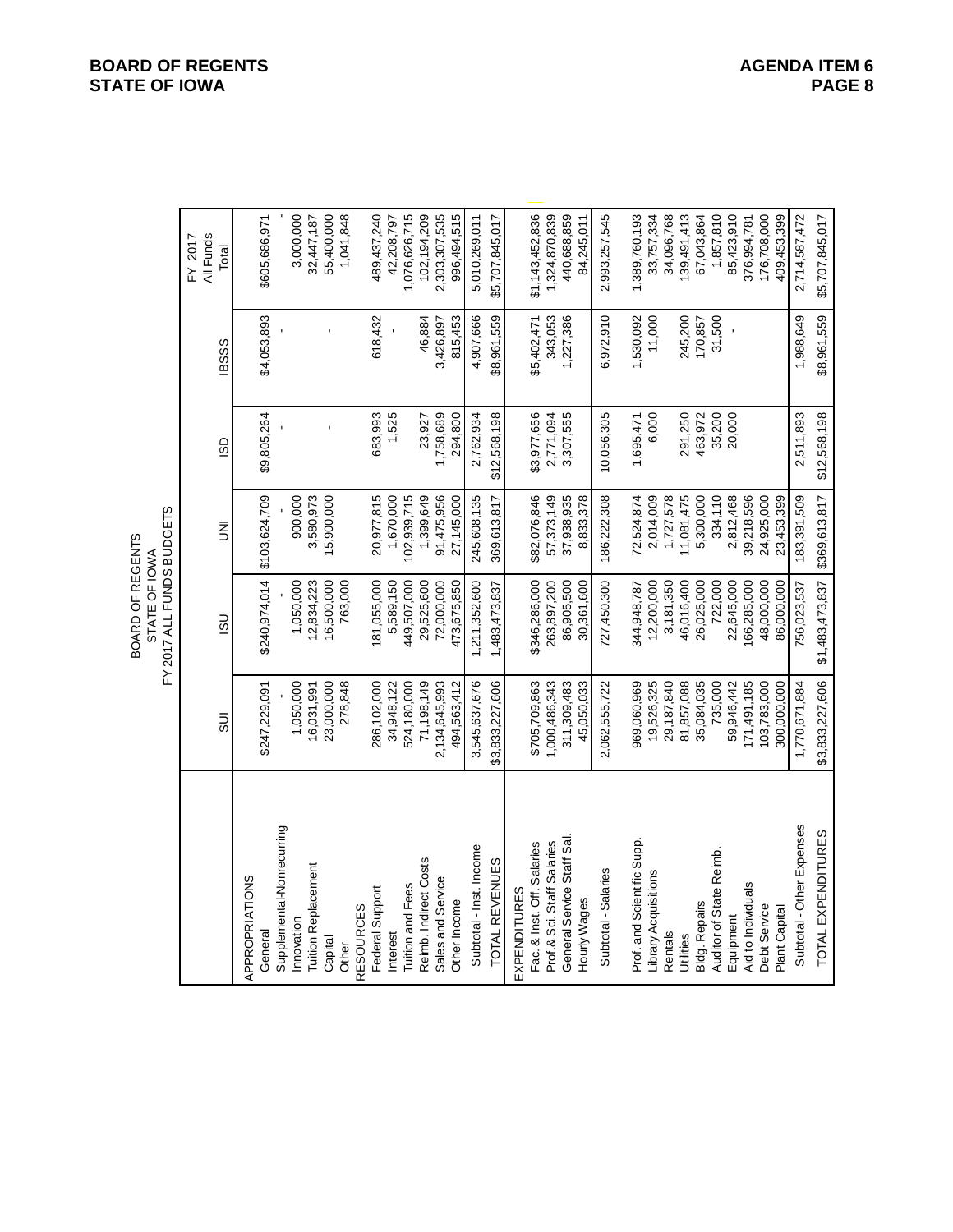|                            |                 | FY 2017 ALL FUNDS BUDGETS<br>BOARD OF REGENTS<br>STATE OF IOWA |                |              |              |                               |
|----------------------------|-----------------|----------------------------------------------------------------|----------------|--------------|--------------|-------------------------------|
|                            | $\overline{5}$  | $\overline{3}$                                                 | $\overline{5}$ | GS           | <b>IBSSS</b> | All Funds<br>FY 2017<br>Total |
|                            |                 |                                                                |                |              |              |                               |
| APPROPRIATIONS<br>General  | \$247,229,091   | \$240,974,014                                                  | \$103,624,709  | \$9,805,264  | \$4,053,893  | \$605,686,971                 |
| Supplemental-Nonrecurring  |                 |                                                                |                |              |              |                               |
| Innovation                 | 1,050,000       | 1,050,000                                                      | 900,000        |              |              | 3,000,000                     |
| Tuition Replacement        | 16,031,991      | 12,834,223                                                     | 3,580,973      |              |              | 32,447,187                    |
| Capital                    | 23,000,000      | 16,500,000                                                     | 15,900,000     |              |              | 55,400,000                    |
| Other                      | 278,848         | 763,000                                                        |                |              |              | 1,041,848                     |
| <b>RESOURCES</b>           |                 |                                                                |                |              |              |                               |
| Federal Support            | 286,102,000     | 181,055,000                                                    | 20,977,815     | 683,993      | 618,432      | 489,437,240                   |
| nterest                    | 34,948,122      | 5,589,150                                                      | 1,670,000      | 1,525        |              | 42,208,797                    |
| Tuition and Fees           | 524,180,000     | 449,507,000                                                    | 102,939,715    |              |              | 1,076,626,715                 |
| Reimb. Indirect Costs      | 71,198,149      | 29,525,600                                                     | 1,399,649      | 23,927       | 46,884       | 102, 194, 209                 |
| Sales and Service          | 2,134,645,993   | 72,000,000                                                     | 91,475,956     | 1,758,689    | 3,426,897    | 2,303,307,535                 |
| Other Income               | 494,563,412     | 473,675,850                                                    | 27,145,000     | 294,800      | 815,453      | 996,494,515                   |
| Subtotal - Inst. Income    | 3,545,637,676   | 1,211,352,600                                                  | 245,608,135    | 2,762,934    | 4,907,666    | 5,010,269,011                 |
| TOTAL REVENUES             | \$3,833,227,606 | 1,483,473,837                                                  | 369,613,817    | \$12,568,198 | \$8,961,559  | \$5,707,845,017               |
| EXPENDITURES               |                 |                                                                |                |              |              |                               |
| Fac. & Inst. Off. Salaries | \$705,709,863   | \$346,286,000                                                  | \$82,076,846   | \$3,977,656  | \$5,402,471  | \$1,143,452,836               |
| Prof.& Sci. Staff Salaries | 1,000,486,343   | 263,897,200                                                    | 57,373,149     | 2,771,094    | 343,053      | 1,324,870,839                 |
| General Service Staff Sal  | 311,309,483     | 86,905,500                                                     | 37,938,935     | 3,307,555    | 1,227,386    | 440,688,859                   |
| Hourly Wages               | 45,050,033      | 30,361,600                                                     | 8,833,378      |              |              | 84,245,011                    |
| Subtotal - Salaries        | 2,062,555,722   | 727,450,300                                                    | 186,222,308    | 10,056,305   | 6,972,910    | 2,993,257,545                 |
| Prof. and Scientific Supp. | 969,060,969     | 344,948,787                                                    | 72,524,874     | 1,695,471    | 1,530,092    | 1,389,760,193                 |
| Library Acquisitions       | 19,526,325      | 12,200,000                                                     | 2,014,009      | 6,000        | 11,000       | 33,757,334                    |
| Rentals                    | 29,187,840      | 3,181,350                                                      | 1,727,578      |              |              | 34,096,768                    |
| Utilities                  | 81,857,088      | 46,016,400                                                     | 11,081,475     | 291,250      | 245,200      | 139,491,413                   |
| <b>Bldg. Repairs</b>       | 35,084,035      | 26,025,000                                                     | 5,300,000      | 463,972      | 170,857      | 67,043,864                    |
| Auditor of State Reimb.    | 735,000         | 722,000                                                        | 334,110        | 35,200       | 31,500       | 1,857,810                     |
| Equipment                  | 59,946,442      | 22,645,000                                                     | 2,812,468      | 20,000       |              | 85,423,910                    |
| Aid to Individuals         | 171,491,185     | 166,285,000                                                    | 39,218,596     |              |              | 376,994,781                   |
| Debt Service               | 103,783,000     | 48,000,000                                                     | 24,925,000     |              |              | 176,708,000                   |
| Plant Capital              | 300,000,000     | 86,000,000                                                     | 23,453,399     |              |              | 409,453,399                   |
| Subtotal - Other Expenses  | 1,770,671,884   | 756,023,537                                                    | 183,391,509    | 2,511,893    | 1,988,649    | 2,714,587,472                 |
| TOTAL EXPENDITURES         | \$3,833,227,606 | \$1,483,473,837                                                | \$369,613,817  | \$12,568,198 | \$8,961,559  | \$5,707,845,017               |

#### **BOARD OF REGENTS**<br> **BOARD OF REGENTS**<br> **BOARD OF IOWA**<br>
PAGE 8 **STATE OF IOWA**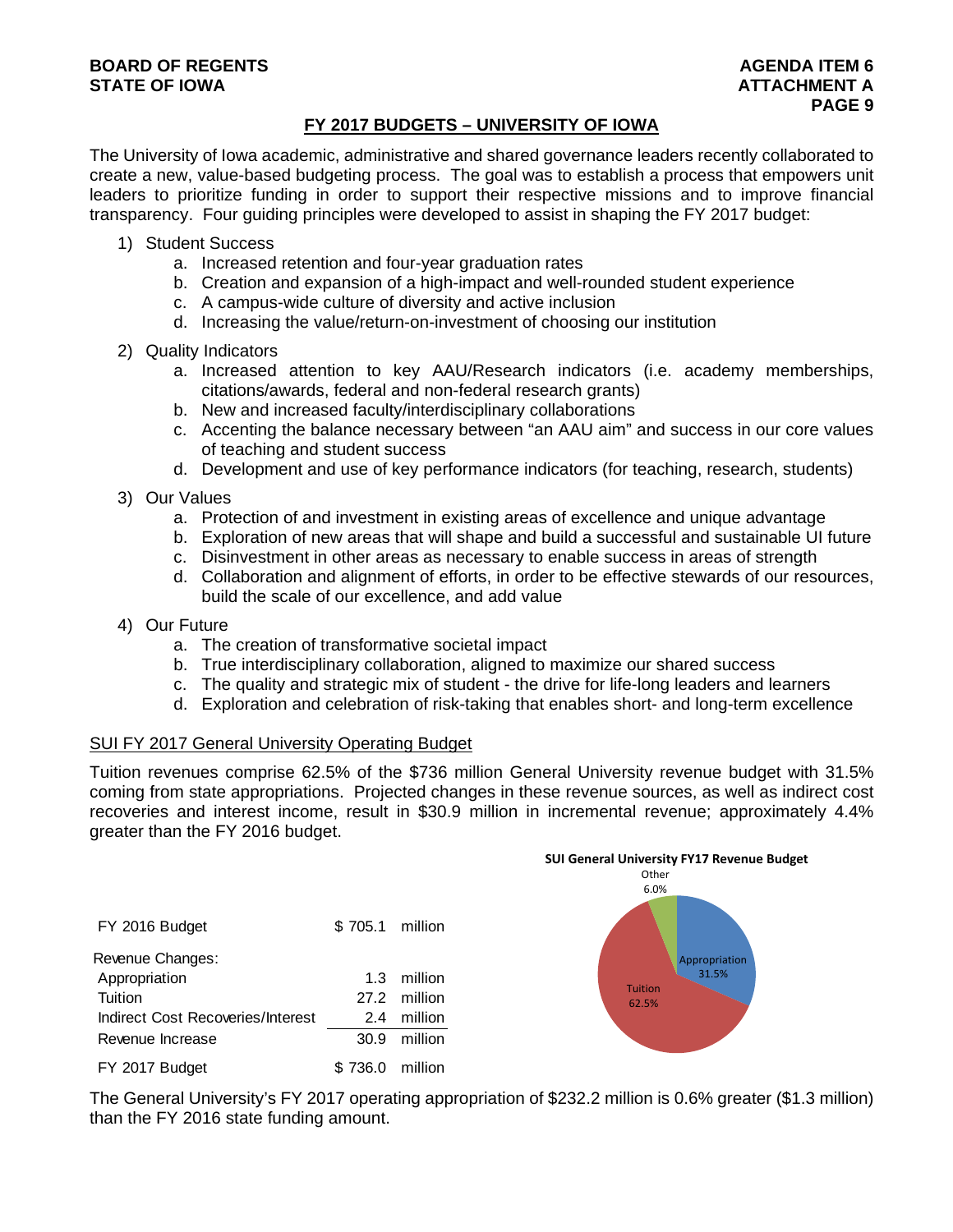#### **BOARD OF REGENTS** AGENERATION OF REGENTS AGENERATION OF REGENTS AGENERATION OF REGENTS AGENERATION OF REGENTS AGENERATION OF REGENTS AGENERATION OF REGENTS AGENERATION OF REGENTS AGENERATION OF REGENTS AGENERATION OF REGE **STATE OF IOWA AND RESERVE A LOCAL CONSUMING A LOCAL CONSUMING A LOCAL CONSUMING A LOCAL CONSUMING A LOCAL CONSUMING A LOCAL CONSUMING A LOCAL CONSUMING A LOCAL CONSUMING A LOCAL CONSUMING A LOCAL CONSUMING A LOCAL CONSUMI**

#### **FY 2017 BUDGETS – UNIVERSITY OF IOWA**

The University of Iowa academic, administrative and shared governance leaders recently collaborated to create a new, value-based budgeting process. The goal was to establish a process that empowers unit leaders to prioritize funding in order to support their respective missions and to improve financial transparency. Four guiding principles were developed to assist in shaping the FY 2017 budget:

- 1) Student Success
	- a. Increased retention and four-year graduation rates
	- b. Creation and expansion of a high-impact and well-rounded student experience
	- c. A campus-wide culture of diversity and active inclusion
	- d. Increasing the value/return-on-investment of choosing our institution
- 2) Quality Indicators
	- a. Increased attention to key AAU/Research indicators (i.e. academy memberships, citations/awards, federal and non-federal research grants)
	- b. New and increased faculty/interdisciplinary collaborations
	- c. Accenting the balance necessary between "an AAU aim" and success in our core values of teaching and student success
	- d. Development and use of key performance indicators (for teaching, research, students)
- 3) Our Values
	- a. Protection of and investment in existing areas of excellence and unique advantage
	- b. Exploration of new areas that will shape and build a successful and sustainable UI future
	- c. Disinvestment in other areas as necessary to enable success in areas of strength
	- d. Collaboration and alignment of efforts, in order to be effective stewards of our resources, build the scale of our excellence, and add value
- 4) Our Future
	- a. The creation of transformative societal impact
	- b. True interdisciplinary collaboration, aligned to maximize our shared success
	- c. The quality and strategic mix of student the drive for life-long leaders and learners
	- d. Exploration and celebration of risk-taking that enables short- and long-term excellence

#### SUI FY 2017 General University Operating Budget

Tuition revenues comprise 62.5% of the \$736 million General University revenue budget with 31.5% coming from state appropriations. Projected changes in these revenue sources, as well as indirect cost recoveries and interest income, result in \$30.9 million in incremental revenue; approximately 4.4% greater than the FY 2016 budget.

| FY 2016 Budget                    | \$705.1 million |              |
|-----------------------------------|-----------------|--------------|
| Revenue Changes:                  |                 |              |
| Appropriation                     | 1.3             | million      |
| Tuition                           |                 | 27.2 million |
| Indirect Cost Recoveries/Interest | 2.4             | million      |
| Revenue Increase                  | 30.9            | million      |
| FY 2017 Budget                    | 736.0           | million      |



The General University's FY 2017 operating appropriation of \$232.2 million is 0.6% greater (\$1.3 million) than the FY 2016 state funding amount.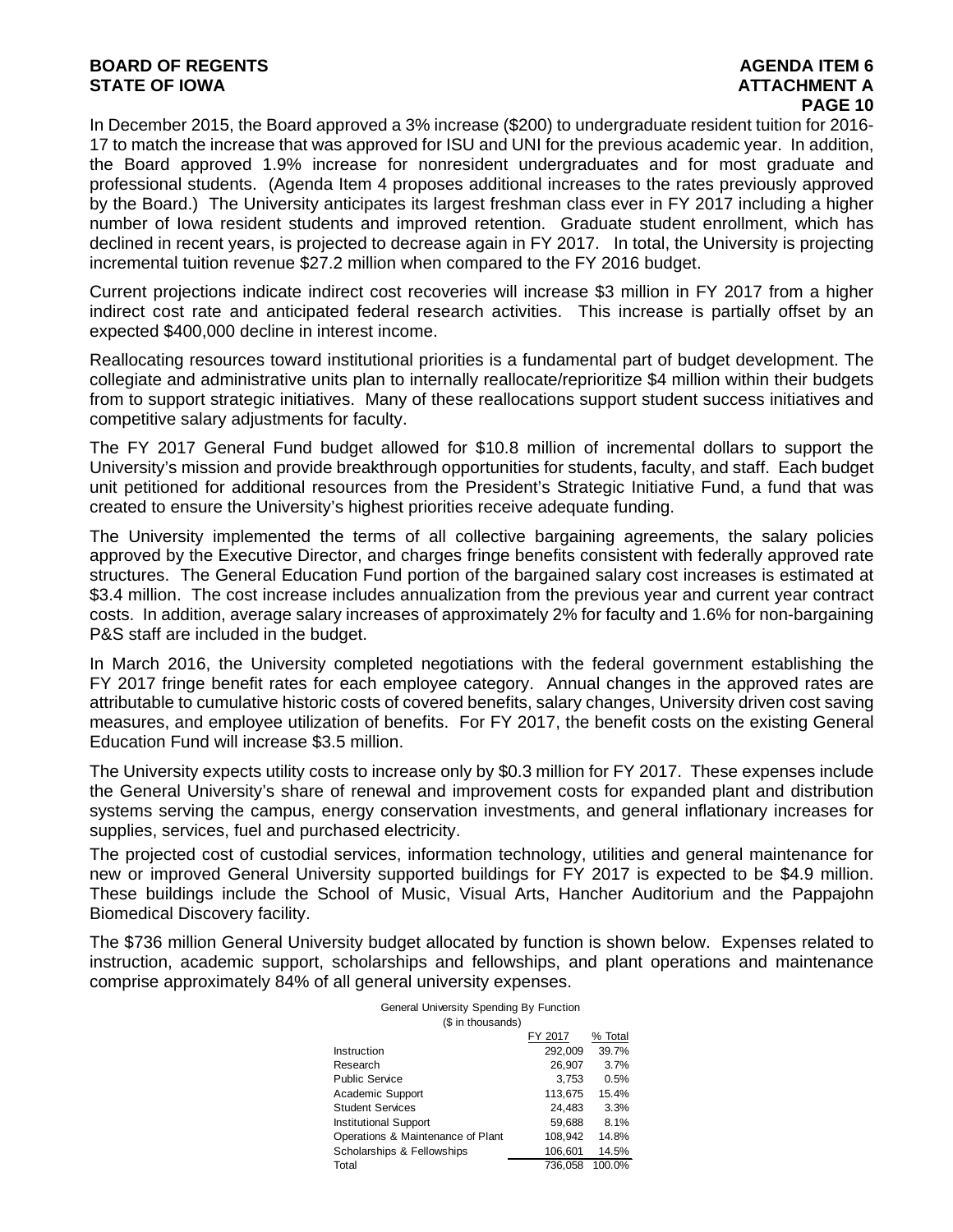#### **BOARD OF REGENTS AGENTS** AGENDA ITEM 6 **STATE OF IOWA AND RESERVE A LOCAL CONSUMING A LOCAL CONSUMING A LOCAL CONSUMING A LOCAL CONSUMING A LOCAL CONSUMING A LOCAL CONSUMING A LOCAL CONSUMING A LOCAL CONSUMING A LOCAL CONSUMING A LOCAL CONSUMING A LOCAL CONSUMI**

## **PAGE 10**

In December 2015, the Board approved a 3% increase (\$200) to undergraduate resident tuition for 2016- 17 to match the increase that was approved for ISU and UNI for the previous academic year. In addition, the Board approved 1.9% increase for nonresident undergraduates and for most graduate and professional students. (Agenda Item 4 proposes additional increases to the rates previously approved by the Board.) The University anticipates its largest freshman class ever in FY 2017 including a higher number of Iowa resident students and improved retention. Graduate student enrollment, which has declined in recent years, is projected to decrease again in FY 2017. In total, the University is projecting incremental tuition revenue \$27.2 million when compared to the FY 2016 budget.

Current projections indicate indirect cost recoveries will increase \$3 million in FY 2017 from a higher indirect cost rate and anticipated federal research activities. This increase is partially offset by an expected \$400,000 decline in interest income.

Reallocating resources toward institutional priorities is a fundamental part of budget development. The collegiate and administrative units plan to internally reallocate/reprioritize \$4 million within their budgets from to support strategic initiatives. Many of these reallocations support student success initiatives and competitive salary adjustments for faculty.

The FY 2017 General Fund budget allowed for \$10.8 million of incremental dollars to support the University's mission and provide breakthrough opportunities for students, faculty, and staff. Each budget unit petitioned for additional resources from the President's Strategic Initiative Fund, a fund that was created to ensure the University's highest priorities receive adequate funding.

The University implemented the terms of all collective bargaining agreements, the salary policies approved by the Executive Director, and charges fringe benefits consistent with federally approved rate structures. The General Education Fund portion of the bargained salary cost increases is estimated at \$3.4 million. The cost increase includes annualization from the previous year and current year contract costs. In addition, average salary increases of approximately 2% for faculty and 1.6% for non-bargaining P&S staff are included in the budget.

In March 2016, the University completed negotiations with the federal government establishing the FY 2017 fringe benefit rates for each employee category. Annual changes in the approved rates are attributable to cumulative historic costs of covered benefits, salary changes, University driven cost saving measures, and employee utilization of benefits. For FY 2017, the benefit costs on the existing General Education Fund will increase \$3.5 million.

The University expects utility costs to increase only by \$0.3 million for FY 2017. These expenses include the General University's share of renewal and improvement costs for expanded plant and distribution systems serving the campus, energy conservation investments, and general inflationary increases for supplies, services, fuel and purchased electricity.

The projected cost of custodial services, information technology, utilities and general maintenance for new or improved General University supported buildings for FY 2017 is expected to be \$4.9 million. These buildings include the School of Music, Visual Arts, Hancher Auditorium and the Pappajohn Biomedical Discovery facility.

The \$736 million General University budget allocated by function is shown below. Expenses related to instruction, academic support, scholarships and fellowships, and plant operations and maintenance comprise approximately 84% of all general university expenses.

| General University Spending By Function |         |         |  |  |  |  |
|-----------------------------------------|---------|---------|--|--|--|--|
| (\$ in thousands)                       |         |         |  |  |  |  |
|                                         | FY 2017 | % Total |  |  |  |  |
| Instruction                             | 292,009 | 39.7%   |  |  |  |  |
| Research                                | 26,907  | 3.7%    |  |  |  |  |
| Public Service                          | 3,753   | 0.5%    |  |  |  |  |
| Academic Support                        | 113.675 | 15.4%   |  |  |  |  |
| <b>Student Services</b>                 | 24.483  | 3.3%    |  |  |  |  |
| <b>Institutional Support</b>            | 59.688  | 8.1%    |  |  |  |  |
| Operations & Maintenance of Plant       | 108,942 | 14.8%   |  |  |  |  |
| Scholarships & Fellowships              | 106,601 | 14.5%   |  |  |  |  |
| Total                                   | 736.058 | 100.0%  |  |  |  |  |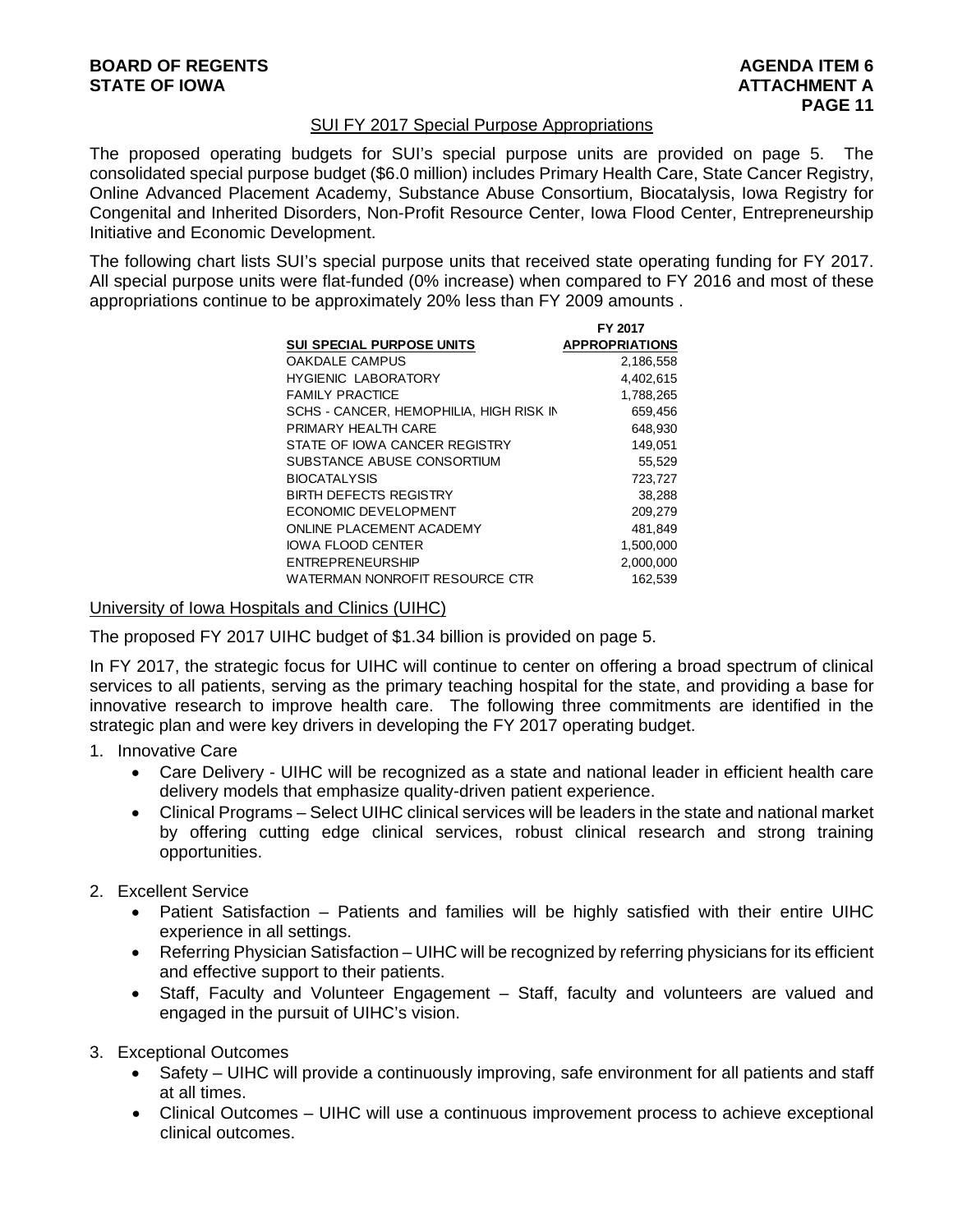#### SUI FY 2017 Special Purpose Appropriations

The proposed operating budgets for SUI's special purpose units are provided on page 5. The consolidated special purpose budget (\$6.0 million) includes Primary Health Care, State Cancer Registry, Online Advanced Placement Academy, Substance Abuse Consortium, Biocatalysis, Iowa Registry for Congenital and Inherited Disorders, Non-Profit Resource Center, Iowa Flood Center, Entrepreneurship Initiative and Economic Development.

The following chart lists SUI's special purpose units that received state operating funding for FY 2017. All special purpose units were flat-funded (0% increase) when compared to FY 2016 and most of these appropriations continue to be approximately 20% less than FY 2009 amounts .

**FY 2017**

|                                         | FY 2017               |
|-----------------------------------------|-----------------------|
| <b>SUI SPECIAL PURPOSE UNITS</b>        | <b>APPROPRIATIONS</b> |
| <b>OAKDALE CAMPUS</b>                   | 2,186,558             |
| <b>HYGIENIC LABORATORY</b>              | 4,402,615             |
| <b>FAMILY PRACTICE</b>                  | 1,788,265             |
| SCHS - CANCER. HEMOPHILIA. HIGH RISK IN | 659.456               |
| PRIMARY HEAI TH CARE                    | 648,930               |
| STATE OF IOWA CANCER REGISTRY           | 149.051               |
| SUBSTANCE ABUSE CONSORTIUM              | 55,529                |
| <b>BIOCATALYSIS</b>                     | 723,727               |
| <b>BIRTH DEFECTS REGISTRY</b>           | 38,288                |
| ECONOMIC DEVELOPMENT                    | 209,279               |
| ONLINE PLACEMENT ACADEMY                | 481,849               |
| <b>IOWA FLOOD CENTER</b>                | 1.500.000             |
| <b>ENTREPRENEURSHIP</b>                 | 2,000,000             |
| WATERMAN NONROFIT RESOURCE CTR          | 162.539               |

#### University of Iowa Hospitals and Clinics (UIHC)

The proposed FY 2017 UIHC budget of \$1.34 billion is provided on page 5.

In FY 2017, the strategic focus for UIHC will continue to center on offering a broad spectrum of clinical services to all patients, serving as the primary teaching hospital for the state, and providing a base for innovative research to improve health care. The following three commitments are identified in the strategic plan and were key drivers in developing the FY 2017 operating budget.

- 1. Innovative Care
	- Care Delivery UIHC will be recognized as a state and national leader in efficient health care delivery models that emphasize quality-driven patient experience.
	- Clinical Programs Select UIHC clinical services will be leaders in the state and national market by offering cutting edge clinical services, robust clinical research and strong training opportunities.
- 2. Excellent Service
	- Patient Satisfaction Patients and families will be highly satisfied with their entire UIHC experience in all settings.
	- Referring Physician Satisfaction UIHC will be recognized by referring physicians for its efficient and effective support to their patients.
	- Staff, Faculty and Volunteer Engagement Staff, faculty and volunteers are valued and engaged in the pursuit of UIHC's vision.
- 3. Exceptional Outcomes
	- Safety UIHC will provide a continuously improving, safe environment for all patients and staff at all times.
	- Clinical Outcomes UIHC will use a continuous improvement process to achieve exceptional clinical outcomes.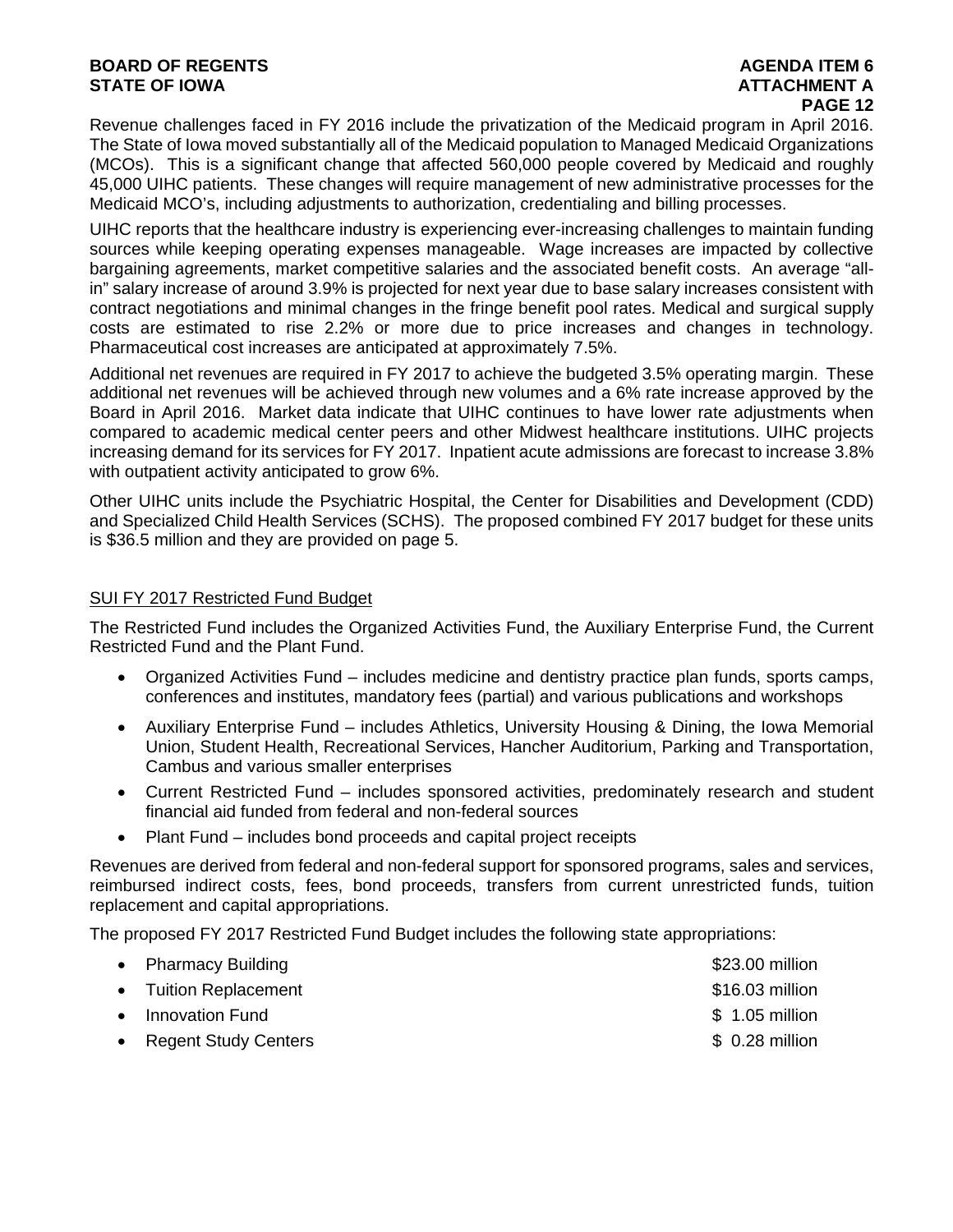#### **BOARD OF REGENTS AGENTS** AGENDA ITEM 6 **STATE OF IOWA AND RESERVE A LOCAL CONSUMING A LOCAL CONSUMING A LOCAL CONSUMING A LOCAL CONSUMING A LOCAL CONSUMING A LOCAL CONSUMING A LOCAL CONSUMING A LOCAL CONSUMING A LOCAL CONSUMING A LOCAL CONSUMING A LOCAL CONSUMI**

# **PAGE 12**

Revenue challenges faced in FY 2016 include the privatization of the Medicaid program in April 2016. The State of Iowa moved substantially all of the Medicaid population to Managed Medicaid Organizations (MCOs). This is a significant change that affected 560,000 people covered by Medicaid and roughly 45,000 UIHC patients. These changes will require management of new administrative processes for the Medicaid MCO's, including adjustments to authorization, credentialing and billing processes.

UIHC reports that the healthcare industry is experiencing ever-increasing challenges to maintain funding sources while keeping operating expenses manageable. Wage increases are impacted by collective bargaining agreements, market competitive salaries and the associated benefit costs. An average "allin" salary increase of around 3.9% is projected for next year due to base salary increases consistent with contract negotiations and minimal changes in the fringe benefit pool rates. Medical and surgical supply costs are estimated to rise 2.2% or more due to price increases and changes in technology. Pharmaceutical cost increases are anticipated at approximately 7.5%.

Additional net revenues are required in FY 2017 to achieve the budgeted 3.5% operating margin. These additional net revenues will be achieved through new volumes and a 6% rate increase approved by the Board in April 2016. Market data indicate that UIHC continues to have lower rate adjustments when compared to academic medical center peers and other Midwest healthcare institutions. UIHC projects increasing demand for its services for FY 2017. Inpatient acute admissions are forecast to increase 3.8% with outpatient activity anticipated to grow 6%.

Other UIHC units include the Psychiatric Hospital, the Center for Disabilities and Development (CDD) and Specialized Child Health Services (SCHS). The proposed combined FY 2017 budget for these units is \$36.5 million and they are provided on page 5.

#### SUI FY 2017 Restricted Fund Budget

The Restricted Fund includes the Organized Activities Fund, the Auxiliary Enterprise Fund, the Current Restricted Fund and the Plant Fund.

- Organized Activities Fund includes medicine and dentistry practice plan funds, sports camps, conferences and institutes, mandatory fees (partial) and various publications and workshops
- Auxiliary Enterprise Fund includes Athletics, University Housing & Dining, the Iowa Memorial Union, Student Health, Recreational Services, Hancher Auditorium, Parking and Transportation, Cambus and various smaller enterprises
- Current Restricted Fund includes sponsored activities, predominately research and student financial aid funded from federal and non-federal sources
- Plant Fund includes bond proceeds and capital project receipts

Revenues are derived from federal and non-federal support for sponsored programs, sales and services, reimbursed indirect costs, fees, bond proceeds, transfers from current unrestricted funds, tuition replacement and capital appropriations.

The proposed FY 2017 Restricted Fund Budget includes the following state appropriations:

| • Pharmacy Building    | \$23.00 million |
|------------------------|-----------------|
| • Tuition Replacement  | \$16.03 million |
| • Innovation Fund      | $$1.05$ million |
| • Regent Study Centers | \$ 0.28 million |
|                        |                 |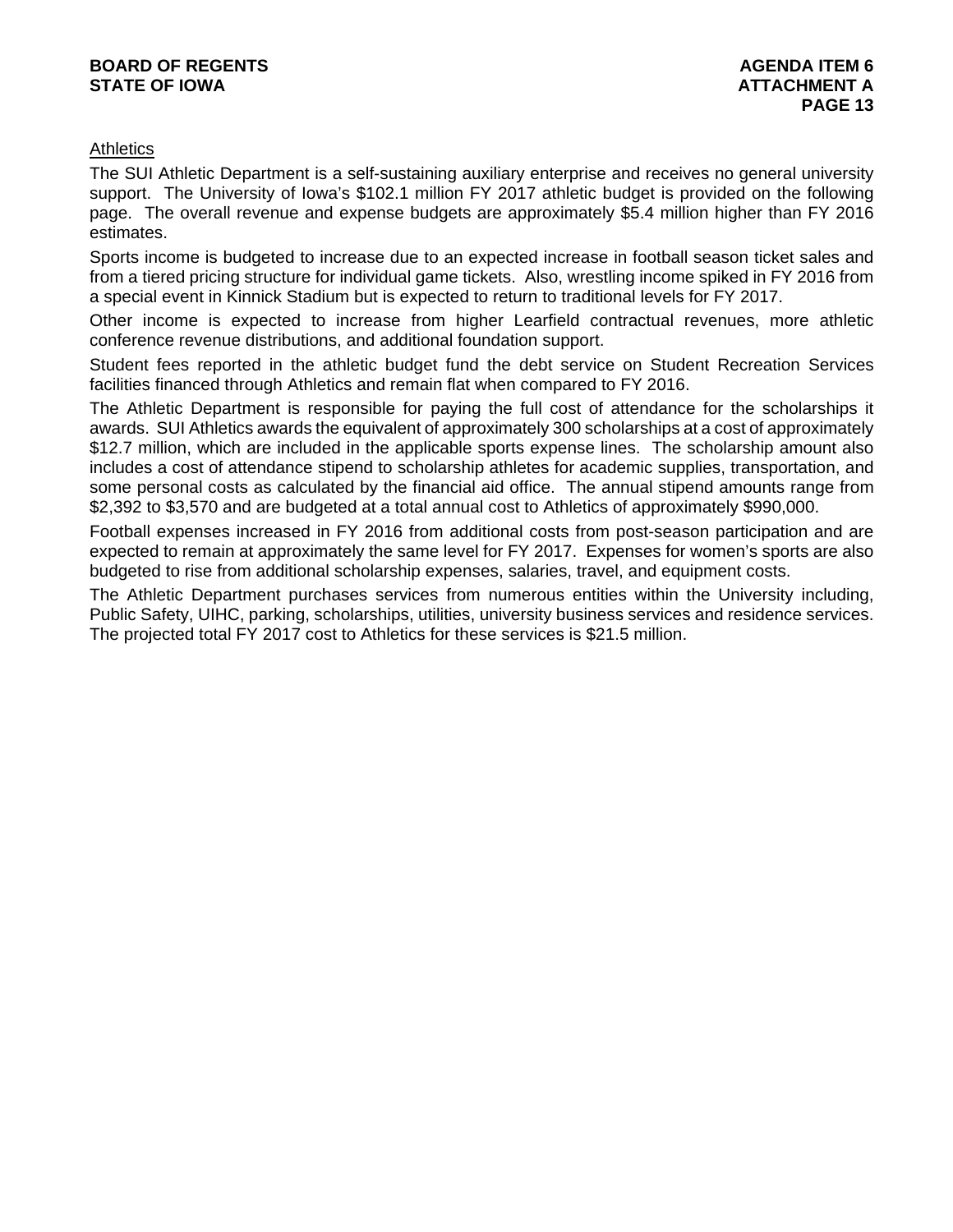#### **BOARD OF REGENTS AGENERAL LIGHT CONSUMING A LIGHT CONSUMING A LIGHT CONSUMING A LIGHT CONSUMING A LIGHT CONSUMING A LIGHT CONSUMING A LIGHT CONSUMING A LIGHT CONSUMING A LIGHT CONSUMING A LIGHT CONSUMING A LIGHT CONSUMING STATE OF IOWA ATTACHMENT A**

#### **Athletics**

The SUI Athletic Department is a self-sustaining auxiliary enterprise and receives no general university support. The University of Iowa's \$102.1 million FY 2017 athletic budget is provided on the following page. The overall revenue and expense budgets are approximately \$5.4 million higher than FY 2016 estimates.

Sports income is budgeted to increase due to an expected increase in football season ticket sales and from a tiered pricing structure for individual game tickets. Also, wrestling income spiked in FY 2016 from a special event in Kinnick Stadium but is expected to return to traditional levels for FY 2017.

Other income is expected to increase from higher Learfield contractual revenues, more athletic conference revenue distributions, and additional foundation support.

Student fees reported in the athletic budget fund the debt service on Student Recreation Services facilities financed through Athletics and remain flat when compared to FY 2016.

The Athletic Department is responsible for paying the full cost of attendance for the scholarships it awards. SUI Athletics awards the equivalent of approximately 300 scholarships at a cost of approximately \$12.7 million, which are included in the applicable sports expense lines. The scholarship amount also includes a cost of attendance stipend to scholarship athletes for academic supplies, transportation, and some personal costs as calculated by the financial aid office. The annual stipend amounts range from \$2,392 to \$3,570 and are budgeted at a total annual cost to Athletics of approximately \$990,000.

Football expenses increased in FY 2016 from additional costs from post-season participation and are expected to remain at approximately the same level for FY 2017. Expenses for women's sports are also budgeted to rise from additional scholarship expenses, salaries, travel, and equipment costs.

The Athletic Department purchases services from numerous entities within the University including, Public Safety, UIHC, parking, scholarships, utilities, university business services and residence services. The projected total FY 2017 cost to Athletics for these services is \$21.5 million.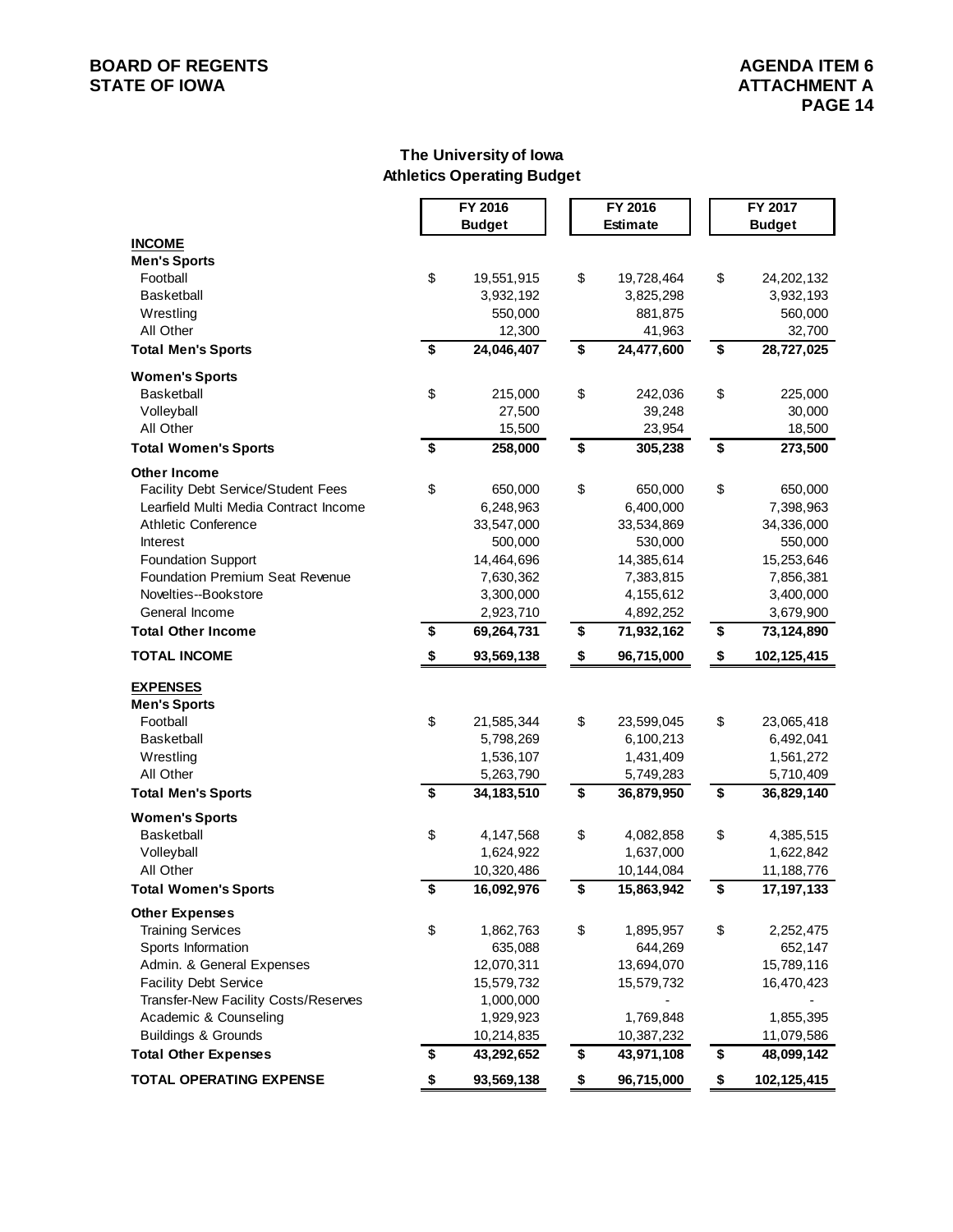## **BOARD OF REGENTS**<br> **BOARD OF REGENTS**<br> **STATE OF IOWA**<br> **ATTACHMENT A**

#### **The University of Iowa Athletics Operating Budget**

|                                           |                         | FY 2016       | FY 2016                              |            |                                      | FY 2017       |              |
|-------------------------------------------|-------------------------|---------------|--------------------------------------|------------|--------------------------------------|---------------|--------------|
|                                           |                         | <b>Budget</b> | <b>Estimate</b>                      |            |                                      | <b>Budget</b> |              |
| <b>INCOME</b>                             |                         |               |                                      |            |                                      |               |              |
| <b>Men's Sports</b>                       |                         |               |                                      |            |                                      |               |              |
| Football                                  | \$                      | 19,551,915    | \$                                   | 19,728,464 | \$                                   |               | 24,202,132   |
| <b>Basketball</b>                         |                         | 3,932,192     |                                      | 3,825,298  |                                      |               | 3,932,193    |
| Wrestling                                 |                         | 550,000       |                                      | 881,875    |                                      |               | 560,000      |
| All Other                                 |                         | 12,300        |                                      | 41,963     |                                      |               | 32,700       |
| <b>Total Men's Sports</b>                 | $\overline{\mathbf{s}}$ | 24,046,407    | $\overline{\boldsymbol{\mathsf{s}}}$ | 24,477,600 | $\overline{\boldsymbol{\mathsf{s}}}$ |               | 28,727,025   |
| <b>Women's Sports</b>                     |                         |               |                                      |            |                                      |               |              |
| <b>Basketball</b>                         | \$                      | 215,000       | \$                                   | 242,036    | \$                                   |               | 225,000      |
| Volleyball                                |                         | 27,500        |                                      | 39,248     |                                      |               | 30,000       |
| All Other                                 |                         | 15,500        |                                      | 23,954     |                                      |               | 18,500       |
| <b>Total Women's Sports</b>               | $\overline{\bullet}$    | 258,000       | \$                                   | 305,238    | \$                                   |               | 273,500      |
| <b>Other Income</b>                       |                         |               |                                      |            |                                      |               |              |
| <b>Facility Debt Service/Student Fees</b> | \$                      | 650,000       | \$                                   | 650,000    | \$                                   |               | 650,000      |
| Learfield Multi Media Contract Income     |                         | 6,248,963     |                                      | 6,400,000  |                                      |               | 7,398,963    |
| <b>Athletic Conference</b>                |                         | 33,547,000    |                                      | 33,534,869 |                                      |               | 34,336,000   |
| Interest                                  |                         | 500,000       |                                      | 530,000    |                                      |               | 550,000      |
| <b>Foundation Support</b>                 |                         | 14,464,696    |                                      | 14,385,614 |                                      |               | 15,253,646   |
| <b>Foundation Premium Seat Revenue</b>    |                         | 7,630,362     |                                      | 7,383,815  |                                      |               | 7,856,381    |
| Novelties--Bookstore                      |                         | 3,300,000     |                                      | 4,155,612  |                                      |               | 3,400,000    |
| General Income                            |                         | 2,923,710     |                                      | 4,892,252  |                                      |               | 3,679,900    |
| <b>Total Other Income</b>                 | \$                      | 69,264,731    | \$                                   | 71,932,162 | \$                                   |               | 73,124,890   |
| <b>TOTAL INCOME</b>                       | \$                      | 93,569,138    | \$                                   | 96,715,000 | \$                                   |               | 102,125,415  |
| <b>EXPENSES</b>                           |                         |               |                                      |            |                                      |               |              |
| <b>Men's Sports</b>                       |                         |               |                                      |            |                                      |               |              |
| Football                                  | \$                      | 21,585,344    | \$                                   | 23,599,045 | \$                                   |               | 23,065,418   |
| Basketball                                |                         | 5,798,269     |                                      | 6,100,213  |                                      |               | 6,492,041    |
| Wrestling                                 |                         | 1,536,107     |                                      | 1,431,409  |                                      |               | 1,561,272    |
| All Other                                 |                         | 5,263,790     |                                      | 5,749,283  |                                      |               | 5,710,409    |
| <b>Total Men's Sports</b>                 | $\overline{\bullet}$    | 34, 183, 510  | \$                                   | 36,879,950 | \$                                   |               | 36,829,140   |
| <b>Women's Sports</b>                     |                         |               |                                      |            |                                      |               |              |
| <b>Basketball</b>                         | \$                      | 4,147,568     | \$                                   | 4,082,858  | \$                                   |               | 4,385,515    |
| Volleyball                                |                         | 1,624,922     |                                      | 1,637,000  |                                      |               | 1,622,842    |
| All Other                                 |                         | 10,320,486    |                                      | 10,144,084 |                                      |               | 11,188,776   |
| <b>Total Women's Sports</b>               | \$                      | 16,092,976    | \$                                   | 15,863,942 | \$                                   |               | 17, 197, 133 |
| <b>Other Expenses</b>                     |                         |               |                                      |            |                                      |               |              |
| <b>Training Services</b>                  | \$                      | 1,862,763     | \$                                   | 1,895,957  | \$                                   |               | 2,252,475    |
| Sports Information                        |                         | 635,088       |                                      | 644,269    |                                      |               | 652,147      |
| Admin. & General Expenses                 |                         | 12,070,311    |                                      | 13,694,070 |                                      |               | 15,789,116   |
| <b>Facility Debt Service</b>              |                         | 15,579,732    |                                      | 15,579,732 |                                      |               | 16,470,423   |
| Transfer-New Facility Costs/Reserves      |                         | 1,000,000     |                                      |            |                                      |               |              |
| Academic & Counseling                     |                         | 1,929,923     |                                      | 1,769,848  |                                      |               | 1,855,395    |
| <b>Buildings &amp; Grounds</b>            |                         | 10,214,835    |                                      | 10,387,232 |                                      |               | 11,079,586   |
| <b>Total Other Expenses</b>               | \$                      | 43,292,652    | \$                                   | 43,971,108 | \$                                   |               | 48,099,142   |
| <b>TOTAL OPERATING EXPENSE</b>            | \$                      | 93,569,138    | \$                                   | 96,715,000 | \$                                   |               | 102,125,415  |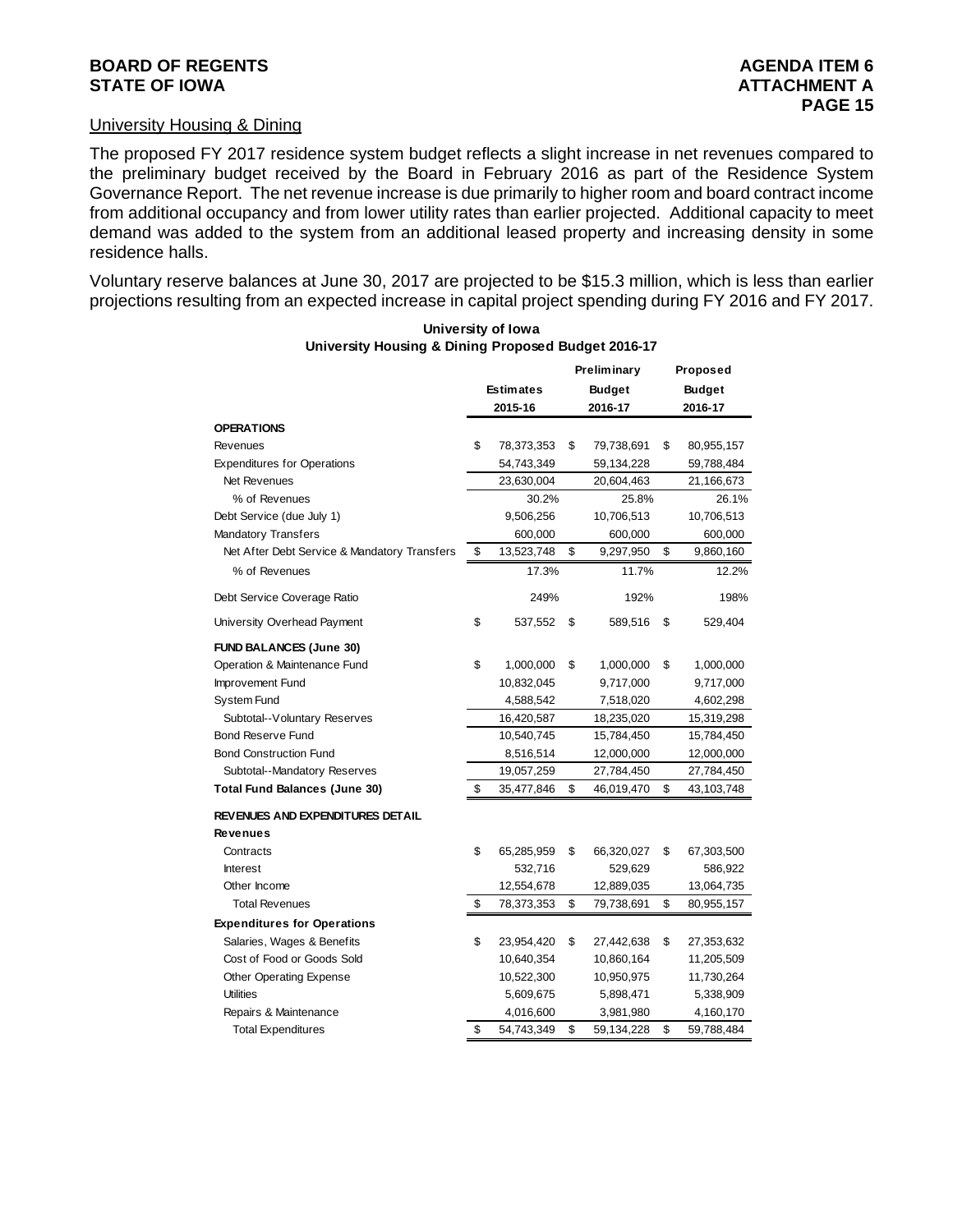#### **BOARD OF REGENTS AGENUS AGENERATION CONSUMING AGENERATION CONSUMING AGENERATION CONSUMING AGENERATION STATE OF IOWA ATTACHMENT A**

#### University Housing & Dining

The proposed FY 2017 residence system budget reflects a slight increase in net revenues compared to the preliminary budget received by the Board in February 2016 as part of the Residence System Governance Report. The net revenue increase is due primarily to higher room and board contract income from additional occupancy and from lower utility rates than earlier projected. Additional capacity to meet demand was added to the system from an additional leased property and increasing density in some residence halls.

Voluntary reserve balances at June 30, 2017 are projected to be \$15.3 million, which is less than earlier projections resulting from an expected increase in capital project spending during FY 2016 and FY 2017.

|                                              |                                   |    | <b>Preliminary</b> |               | Proposed   |
|----------------------------------------------|-----------------------------------|----|--------------------|---------------|------------|
|                                              | <b>Estimates</b><br><b>Budget</b> |    |                    | <b>Budget</b> |            |
|                                              | 2016-17<br>2015-16                |    |                    | 2016-17       |            |
| <b>OPERATIONS</b>                            |                                   |    |                    |               |            |
| Revenues                                     | \$<br>78,373,353                  | \$ | 79,738,691         | \$            | 80,955,157 |
| <b>Expenditures for Operations</b>           | 54,743,349                        |    | 59,134,228         |               | 59,788,484 |
| <b>Net Revenues</b>                          | 23,630,004                        |    | 20,604,463         |               | 21,166,673 |
| % of Revenues                                | 30.2%                             |    | 25.8%              |               | 26.1%      |
| Debt Service (due July 1)                    | 9,506,256                         |    | 10,706,513         |               | 10,706,513 |
| <b>Mandatory Transfers</b>                   | 600,000                           |    | 600,000            |               | 600,000    |
| Net After Debt Service & Mandatory Transfers | \$<br>13,523,748                  | \$ | 9,297,950          | \$            | 9,860,160  |
| % of Revenues                                | 17.3%                             |    | 11.7%              |               | 12.2%      |
| Debt Service Coverage Ratio                  | 249%                              |    | 192%               |               | 198%       |
| University Overhead Payment                  | \$<br>537,552                     | \$ | 589,516            | \$            | 529,404    |
| <b>FUND BALANCES (June 30)</b>               |                                   |    |                    |               |            |
| Operation & Maintenance Fund                 | \$<br>1,000,000                   | \$ | 1,000,000          | \$            | 1,000,000  |
| Improvement Fund                             | 10,832,045                        |    | 9,717,000          |               | 9,717,000  |
| System Fund                                  | 4,588,542                         |    | 7,518,020          |               | 4,602,298  |
| Subtotal--Voluntary Reserves                 | 16,420,587                        |    | 18,235,020         |               | 15,319,298 |
| <b>Bond Reserve Fund</b>                     | 10,540,745                        |    | 15,784,450         |               | 15,784,450 |
| <b>Bond Construction Fund</b>                | 8,516,514                         |    | 12,000,000         |               | 12,000,000 |
| Subtotal--Mandatory Reserves                 | 19,057,259                        |    | 27,784,450         |               | 27,784,450 |
| <b>Total Fund Balances (June 30)</b>         | \$<br>35,477,846                  | \$ | 46,019,470         | \$            | 43,103,748 |
| REVENUES AND EXPENDITURES DETAIL             |                                   |    |                    |               |            |
| <b>Revenues</b>                              |                                   |    |                    |               |            |
| Contracts                                    | \$<br>65,285,959                  | \$ | 66,320,027         | \$            | 67,303,500 |
| <b>Interest</b>                              | 532,716                           |    | 529,629            |               | 586,922    |
| Other Income                                 | 12,554,678                        |    | 12,889,035         |               | 13,064,735 |
| <b>Total Revenues</b>                        | \$<br>78,373,353                  | \$ | 79,738,691         | \$            | 80,955,157 |
| <b>Expenditures for Operations</b>           |                                   |    |                    |               |            |
| Salaries, Wages & Benefits                   | \$<br>23,954,420                  | \$ | 27,442,638         | \$            | 27,353,632 |
| Cost of Food or Goods Sold                   | 10,640,354                        |    | 10,860,164         |               | 11,205,509 |
| <b>Other Operating Expense</b>               | 10,522,300                        |    | 10,950,975         |               | 11,730,264 |
| <b>Utilities</b>                             | 5,609,675                         |    | 5,898,471          |               | 5,338,909  |
| Repairs & Maintenance                        | 4,016,600                         |    | 3,981,980          |               | 4,160,170  |
| <b>Total Expenditures</b>                    | \$<br>54,743,349                  | \$ | 59,134,228         | \$            | 59,788,484 |

**University of Iowa University Housing & Dining Proposed Budget 2016-17**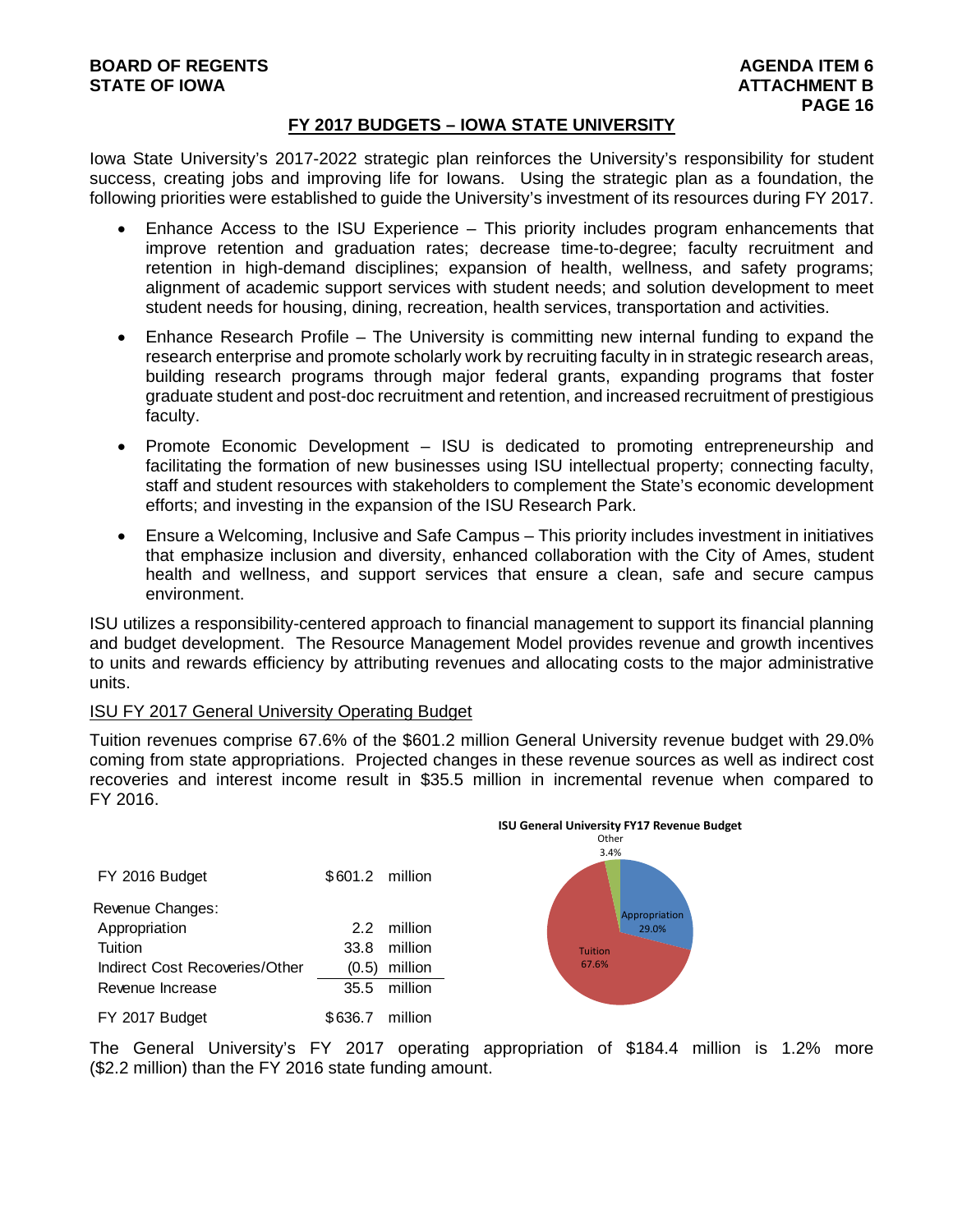#### **FY 2017 BUDGETS – IOWA STATE UNIVERSITY**

Iowa State University's 2017-2022 strategic plan reinforces the University's responsibility for student success, creating jobs and improving life for Iowans. Using the strategic plan as a foundation, the following priorities were established to guide the University's investment of its resources during FY 2017.

- Enhance Access to the ISU Experience This priority includes program enhancements that improve retention and graduation rates; decrease time-to-degree; faculty recruitment and retention in high-demand disciplines; expansion of health, wellness, and safety programs; alignment of academic support services with student needs; and solution development to meet student needs for housing, dining, recreation, health services, transportation and activities.
- Enhance Research Profile The University is committing new internal funding to expand the research enterprise and promote scholarly work by recruiting faculty in in strategic research areas, building research programs through major federal grants, expanding programs that foster graduate student and post-doc recruitment and retention, and increased recruitment of prestigious faculty.
- Promote Economic Development ISU is dedicated to promoting entrepreneurship and facilitating the formation of new businesses using ISU intellectual property; connecting faculty, staff and student resources with stakeholders to complement the State's economic development efforts; and investing in the expansion of the ISU Research Park.
- Ensure a Welcoming, Inclusive and Safe Campus This priority includes investment in initiatives that emphasize inclusion and diversity, enhanced collaboration with the City of Ames, student health and wellness, and support services that ensure a clean, safe and secure campus environment.

ISU utilizes a responsibility-centered approach to financial management to support its financial planning and budget development. The Resource Management Model provides revenue and growth incentives to units and rewards efficiency by attributing revenues and allocating costs to the major administrative units.

#### ISU FY 2017 General University Operating Budget

Tuition revenues comprise 67.6% of the \$601.2 million General University revenue budget with 29.0% coming from state appropriations. Projected changes in these revenue sources as well as indirect cost recoveries and interest income result in \$35.5 million in incremental revenue when compared to FY 2016.



The General University's FY 2017 operating appropriation of \$184.4 million is 1.2% more (\$2.2 million) than the FY 2016 state funding amount.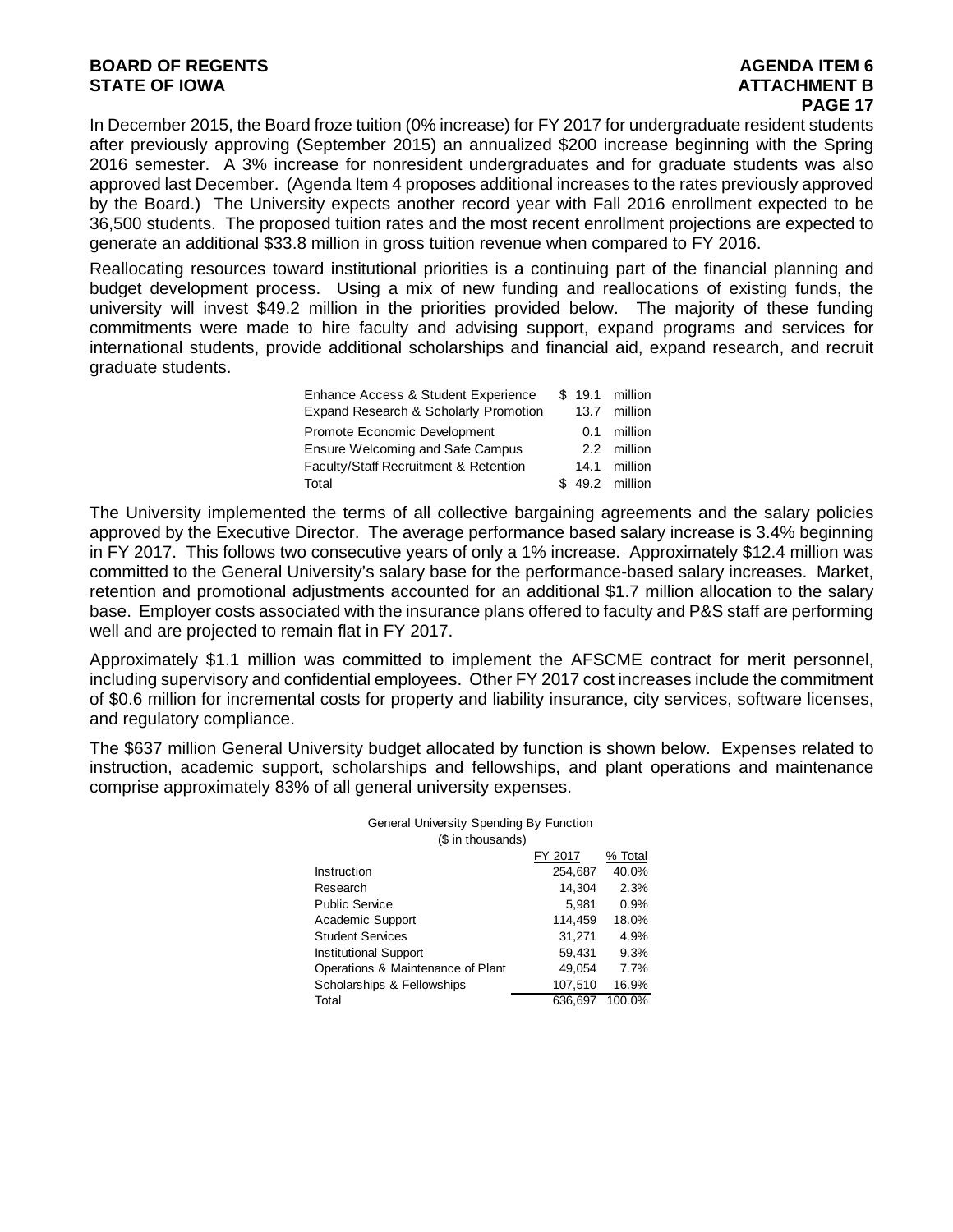#### **BOARD OF REGENTS AGENTS** AGENDA ITEM 6 **STATE OF IOWA** AND **BULGARY ATTACHMENT B**

In December 2015, the Board froze tuition (0% increase) for FY 2017 for undergraduate resident students after previously approving (September 2015) an annualized \$200 increase beginning with the Spring 2016 semester. A 3% increase for nonresident undergraduates and for graduate students was also approved last December. (Agenda Item 4 proposes additional increases to the rates previously approved by the Board.) The University expects another record year with Fall 2016 enrollment expected to be 36,500 students. The proposed tuition rates and the most recent enrollment projections are expected to generate an additional \$33.8 million in gross tuition revenue when compared to FY 2016.

Reallocating resources toward institutional priorities is a continuing part of the financial planning and budget development process. Using a mix of new funding and reallocations of existing funds, the university will invest \$49.2 million in the priorities provided below. The majority of these funding commitments were made to hire faculty and advising support, expand programs and services for international students, provide additional scholarships and financial aid, expand research, and recruit graduate students.

| Enhance Access & Student Experience   |      | \$ 19.1 million |
|---------------------------------------|------|-----------------|
| Expand Research & Scholarly Promotion | 13.7 | million         |
| Promote Economic Development          | 0.1  | million         |
| Ensure Welcoming and Safe Campus      |      | 2.2 million     |
| Faculty/Staff Recruitment & Retention |      | 14.1 million    |
| Total                                 |      | \$ 49.2 million |

The University implemented the terms of all collective bargaining agreements and the salary policies approved by the Executive Director. The average performance based salary increase is 3.4% beginning in FY 2017. This follows two consecutive years of only a 1% increase. Approximately \$12.4 million was committed to the General University's salary base for the performance-based salary increases. Market, retention and promotional adjustments accounted for an additional \$1.7 million allocation to the salary base. Employer costs associated with the insurance plans offered to faculty and P&S staff are performing well and are projected to remain flat in FY 2017.

Approximately \$1.1 million was committed to implement the AFSCME contract for merit personnel, including supervisory and confidential employees. Other FY 2017 cost increases include the commitment of \$0.6 million for incremental costs for property and liability insurance, city services, software licenses, and regulatory compliance.

The \$637 million General University budget allocated by function is shown below. Expenses related to instruction, academic support, scholarships and fellowships, and plant operations and maintenance comprise approximately 83% of all general university expenses.

| (\$ in thousands)                 |         |         |
|-----------------------------------|---------|---------|
|                                   | FY 2017 | % Total |
| Instruction                       | 254,687 | 40.0%   |
| Research                          | 14.304  | 2.3%    |
| <b>Public Service</b>             | 5,981   | 0.9%    |
| Academic Support                  | 114.459 | 18.0%   |
| <b>Student Services</b>           | 31.271  | 4.9%    |
| <b>Institutional Support</b>      | 59,431  | 9.3%    |
| Operations & Maintenance of Plant | 49.054  | 7.7%    |
| Scholarships & Fellowships        | 107,510 | 16.9%   |
| Total                             | 636.697 | 100.0%  |

## General University Spending By Function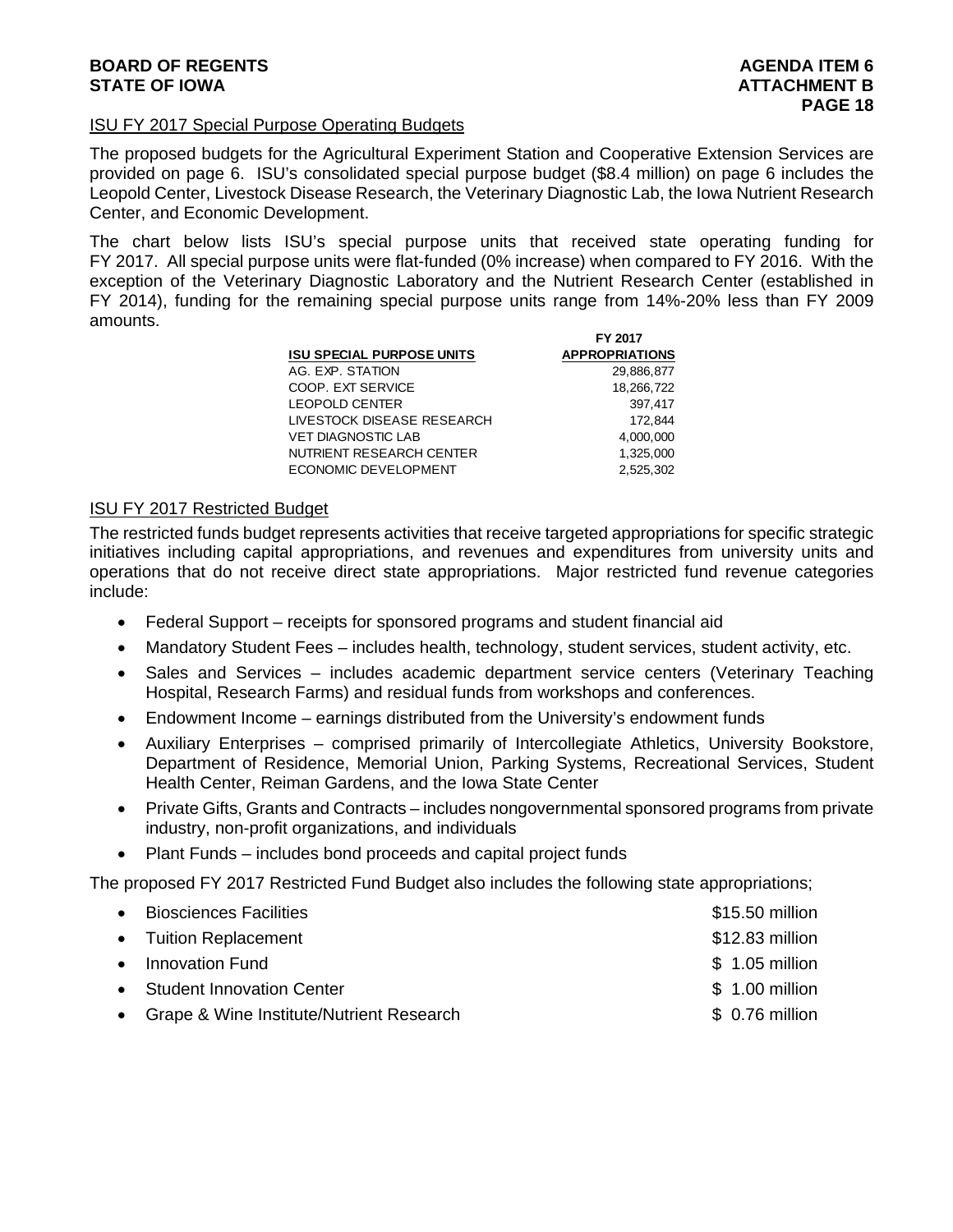#### ISU FY 2017 Special Purpose Operating Budgets

The proposed budgets for the Agricultural Experiment Station and Cooperative Extension Services are provided on page 6. ISU's consolidated special purpose budget (\$8.4 million) on page 6 includes the Leopold Center, Livestock Disease Research, the Veterinary Diagnostic Lab, the Iowa Nutrient Research Center, and Economic Development.

The chart below lists ISU's special purpose units that received state operating funding for FY 2017. All special purpose units were flat-funded (0% increase) when compared to FY 2016. With the exception of the Veterinary Diagnostic Laboratory and the Nutrient Research Center (established in FY 2014), funding for the remaining special purpose units range from 14%-20% less than FY 2009 amounts.

| FY 2017               |
|-----------------------|
| <b>APPROPRIATIONS</b> |
| 29.886.877            |
| 18,266,722            |
| 397.417               |
| 172,844               |
| 4,000,000             |
| 1,325,000             |
| 2.525.302             |
|                       |

#### ISU FY 2017 Restricted Budget

The restricted funds budget represents activities that receive targeted appropriations for specific strategic initiatives including capital appropriations, and revenues and expenditures from university units and operations that do not receive direct state appropriations. Major restricted fund revenue categories include:

- Federal Support receipts for sponsored programs and student financial aid
- Mandatory Student Fees includes health, technology, student services, student activity, etc.
- Sales and Services includes academic department service centers (Veterinary Teaching Hospital, Research Farms) and residual funds from workshops and conferences.
- Endowment Income earnings distributed from the University's endowment funds
- Auxiliary Enterprises comprised primarily of Intercollegiate Athletics, University Bookstore, Department of Residence, Memorial Union, Parking Systems, Recreational Services, Student Health Center, Reiman Gardens, and the Iowa State Center
- Private Gifts, Grants and Contracts includes nongovernmental sponsored programs from private industry, non-profit organizations, and individuals
- Plant Funds includes bond proceeds and capital project funds

The proposed FY 2017 Restricted Fund Budget also includes the following state appropriations;

| • Biosciences Facilities                   | \$15.50 million |
|--------------------------------------------|-----------------|
| • Tuition Replacement                      | \$12.83 million |
| • Innovation Fund                          | $$1.05$ million |
| • Student Innovation Center                | \$ 1.00 million |
| • Grape & Wine Institute/Nutrient Research | \$ 0.76 million |
|                                            |                 |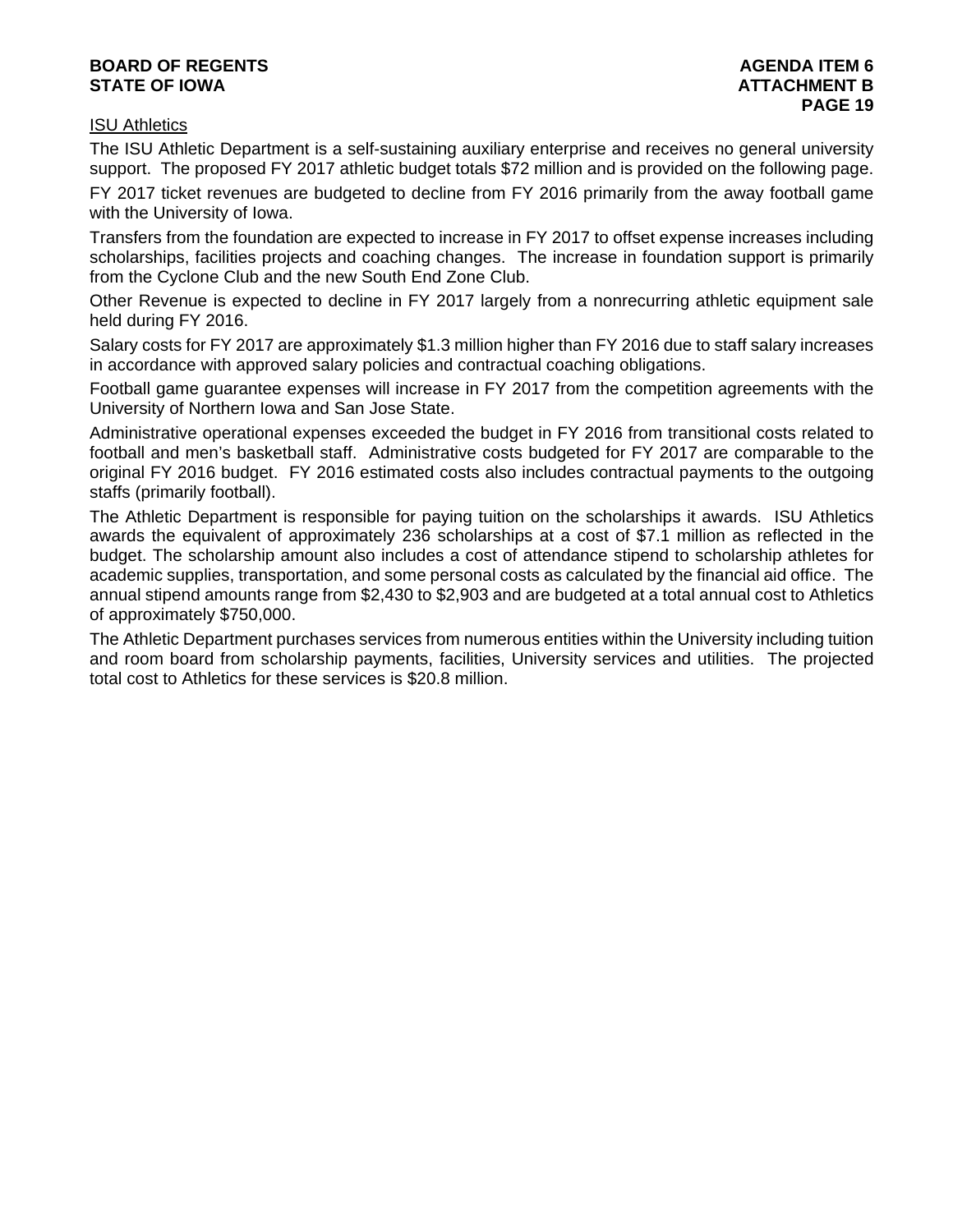#### **BOARD OF REGENTS** AGENERATION OF REGENTS AGENERATION OF REGENTS AGENERATION OF REGENTS AGENERATION OF REGENTS AGENERATION OF REGENTS AGENERATION OF REGENTS AGENERATION OF REGENTS AGENERATION OF REGENTS AGENERATION OF REGE **STATE OF IOWA** AND **BUCK ATTACHMENT B**

#### ISU Athletics

The ISU Athletic Department is a self-sustaining auxiliary enterprise and receives no general university support. The proposed FY 2017 athletic budget totals \$72 million and is provided on the following page.

FY 2017 ticket revenues are budgeted to decline from FY 2016 primarily from the away football game with the University of Iowa.

Transfers from the foundation are expected to increase in FY 2017 to offset expense increases including scholarships, facilities projects and coaching changes. The increase in foundation support is primarily from the Cyclone Club and the new South End Zone Club.

Other Revenue is expected to decline in FY 2017 largely from a nonrecurring athletic equipment sale held during FY 2016.

Salary costs for FY 2017 are approximately \$1.3 million higher than FY 2016 due to staff salary increases in accordance with approved salary policies and contractual coaching obligations.

Football game guarantee expenses will increase in FY 2017 from the competition agreements with the University of Northern Iowa and San Jose State.

Administrative operational expenses exceeded the budget in FY 2016 from transitional costs related to football and men's basketball staff. Administrative costs budgeted for FY 2017 are comparable to the original FY 2016 budget. FY 2016 estimated costs also includes contractual payments to the outgoing staffs (primarily football).

The Athletic Department is responsible for paying tuition on the scholarships it awards. ISU Athletics awards the equivalent of approximately 236 scholarships at a cost of \$7.1 million as reflected in the budget. The scholarship amount also includes a cost of attendance stipend to scholarship athletes for academic supplies, transportation, and some personal costs as calculated by the financial aid office. The annual stipend amounts range from \$2,430 to \$2,903 and are budgeted at a total annual cost to Athletics of approximately \$750,000.

The Athletic Department purchases services from numerous entities within the University including tuition and room board from scholarship payments, facilities, University services and utilities. The projected total cost to Athletics for these services is \$20.8 million.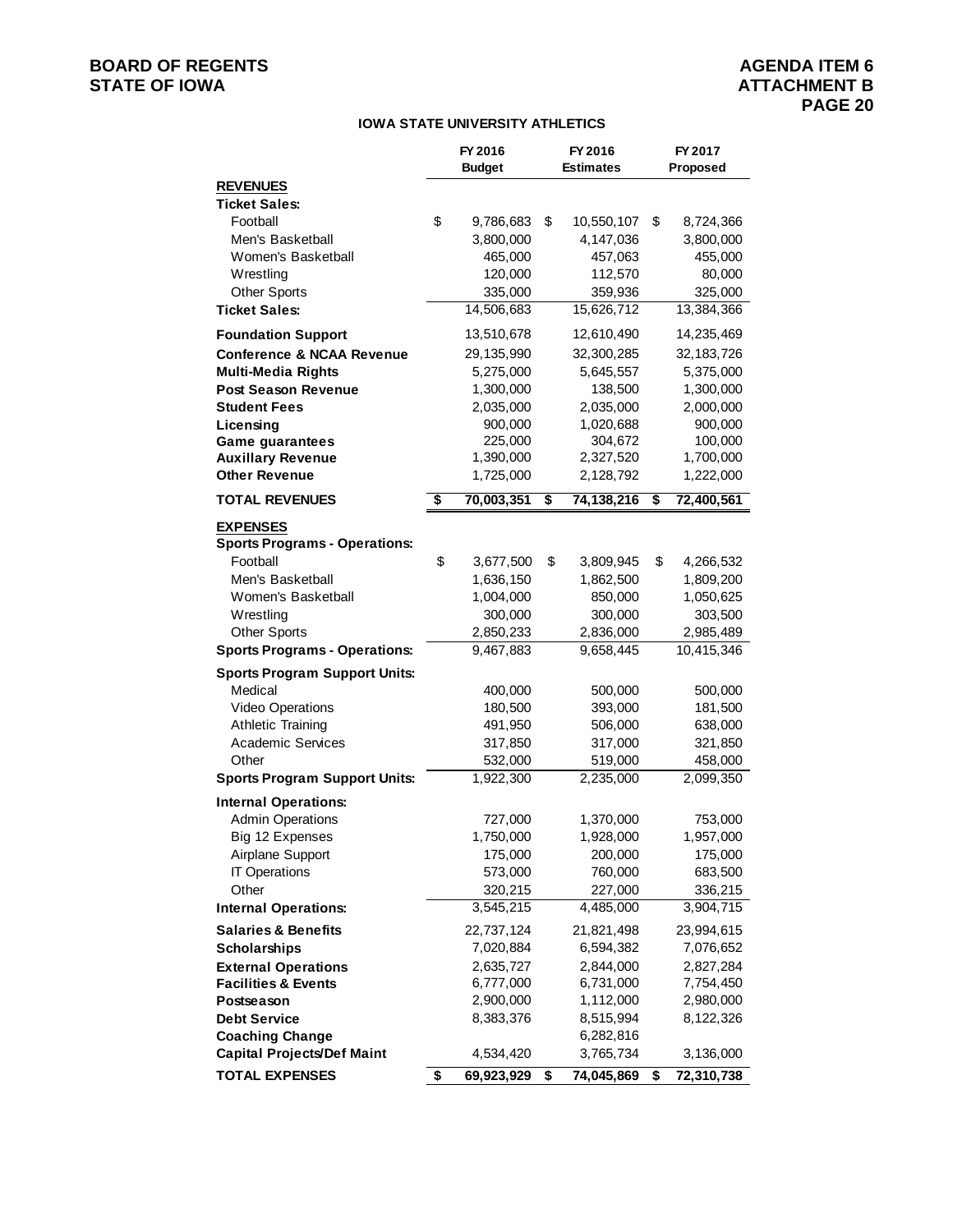## **BOARD OF REGENTS**<br> **BOARD OF REGENTS**<br> **STATE OF IOWA**<br> **BOARD OF REGENTS**

#### **IOWA STATE UNIVERSITY ATHLETICS**

|                                      | FY 2016<br><b>Budget</b> | FY 2016<br><b>Estimates</b> |            | FY 2017<br>Proposed |            |
|--------------------------------------|--------------------------|-----------------------------|------------|---------------------|------------|
| <b>REVENUES</b>                      |                          |                             |            |                     |            |
| <b>Ticket Sales:</b>                 |                          |                             |            |                     |            |
| Football                             | \$<br>9,786,683          | \$                          | 10,550,107 | \$                  | 8,724,366  |
| Men's Basketball                     | 3,800,000                |                             | 4,147,036  |                     | 3,800,000  |
| Women's Basketball                   | 465,000                  |                             | 457,063    |                     | 455,000    |
| Wrestling                            | 120,000                  |                             | 112,570    |                     | 80,000     |
| <b>Other Sports</b>                  | 335,000                  |                             | 359,936    |                     | 325,000    |
| <b>Ticket Sales:</b>                 | 14,506,683               |                             | 15,626,712 |                     | 13,384,366 |
| <b>Foundation Support</b>            | 13,510,678               |                             | 12,610,490 |                     | 14,235,469 |
| <b>Conference &amp; NCAA Revenue</b> | 29,135,990               |                             | 32,300,285 |                     | 32,183,726 |
| <b>Multi-Media Rights</b>            | 5,275,000                |                             | 5,645,557  |                     | 5,375,000  |
| <b>Post Season Revenue</b>           | 1,300,000                |                             | 138,500    |                     | 1,300,000  |
| <b>Student Fees</b>                  | 2,035,000                |                             | 2,035,000  |                     | 2,000,000  |
| Licensing                            | 900,000                  |                             | 1,020,688  |                     | 900,000    |
| <b>Game guarantees</b>               | 225,000                  |                             | 304,672    |                     | 100,000    |
| <b>Auxillary Revenue</b>             | 1,390,000                |                             | 2,327,520  |                     | 1,700,000  |
| <b>Other Revenue</b>                 | 1,725,000                |                             | 2,128,792  |                     | 1,222,000  |
| <b>TOTAL REVENUES</b>                | \$<br>70,003,351         | \$                          | 74,138,216 | \$                  | 72,400,561 |
| <b>EXPENSES</b>                      |                          |                             |            |                     |            |
| <b>Sports Programs - Operations:</b> |                          |                             |            |                     |            |
| Football                             | \$<br>3,677,500          | \$                          | 3,809,945  | \$                  | 4,266,532  |
| Men's Basketball                     | 1,636,150                |                             | 1,862,500  |                     | 1,809,200  |
| Women's Basketball                   | 1,004,000                |                             | 850,000    |                     | 1,050,625  |
| Wrestling                            | 300,000                  |                             | 300,000    |                     | 303,500    |
| <b>Other Sports</b>                  | 2,850,233                |                             | 2,836,000  |                     | 2,985,489  |
| <b>Sports Programs - Operations:</b> | 9,467,883                |                             | 9,658,445  |                     | 10,415,346 |
| <b>Sports Program Support Units:</b> |                          |                             |            |                     |            |
| Medical                              | 400,000                  |                             | 500,000    |                     | 500,000    |
| <b>Video Operations</b>              | 180,500                  |                             | 393,000    |                     | 181,500    |
| <b>Athletic Training</b>             | 491,950                  |                             | 506,000    |                     | 638,000    |
| <b>Academic Services</b>             | 317,850                  |                             | 317,000    |                     | 321,850    |
| Other                                | 532,000                  |                             | 519,000    |                     | 458,000    |
| <b>Sports Program Support Units:</b> | 1,922,300                |                             | 2,235,000  |                     | 2,099,350  |
| <b>Internal Operations:</b>          |                          |                             |            |                     |            |
| <b>Admin Operations</b>              | 727,000                  |                             | 1,370,000  |                     | 753,000    |
| Big 12 Expenses                      | 1,750,000                |                             | 1,928,000  |                     | 1,957,000  |
| Airplane Support                     | 175,000                  |                             | 200,000    |                     | 175,000    |
| <b>IT Operations</b>                 | 573,000                  |                             | 760,000    |                     | 683,500    |
| Other                                | 320,215                  |                             | 227,000    |                     | 336,215    |
| <b>Internal Operations:</b>          | 3,545,215                |                             | 4,485,000  |                     | 3,904,715  |
| <b>Salaries &amp; Benefits</b>       | 22,737,124               |                             | 21,821,498 |                     | 23,994,615 |
| <b>Scholarships</b>                  | 7,020,884                |                             | 6,594,382  |                     | 7,076,652  |
| <b>External Operations</b>           | 2,635,727                |                             | 2,844,000  |                     | 2,827,284  |
| <b>Facilities &amp; Events</b>       | 6,777,000                |                             | 6,731,000  |                     | 7,754,450  |
| Postseason                           | 2,900,000                |                             | 1,112,000  |                     | 2,980,000  |
| <b>Debt Service</b>                  | 8,383,376                |                             | 8,515,994  |                     | 8,122,326  |
| <b>Coaching Change</b>               |                          |                             | 6,282,816  |                     |            |
| <b>Capital Projects/Def Maint</b>    | 4,534,420                |                             | 3,765,734  |                     | 3,136,000  |
| <b>TOTAL EXPENSES</b>                | \$<br>69,923,929         | \$                          | 74,045,869 | \$                  | 72,310,738 |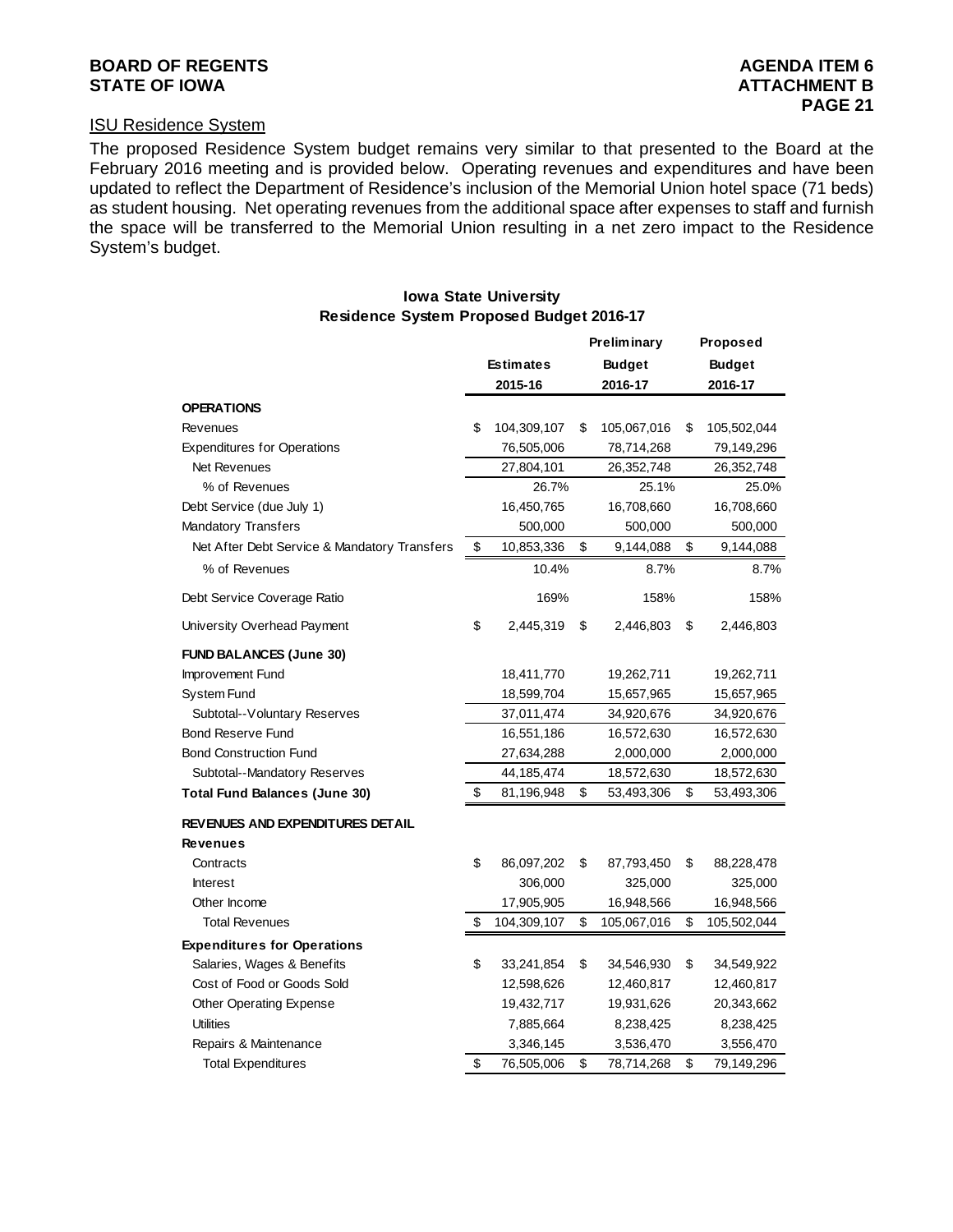#### **BOARD OF REGENTS AGENTS** AGENERATION OF REGENTS **STATE OF IOWA ATTACHMENT B**

#### ISU Residence System

The proposed Residence System budget remains very similar to that presented to the Board at the February 2016 meeting and is provided below. Operating revenues and expenditures and have been updated to reflect the Department of Residence's inclusion of the Memorial Union hotel space (71 beds) as student housing. Net operating revenues from the additional space after expenses to staff and furnish the space will be transferred to the Memorial Union resulting in a net zero impact to the Residence System's budget.

#### **Preliminary Proposed Estimates Budget Budget 2015-16 2016-17 2016-17 OPERATIONS**  Revenues **104,309,107** \$ 104,309,107 \$ 105,067,016 \$ 105,502,044 Expenditures for Operations 76,505,006 78,714,268 79,149,296 Net Revenues 27,804,101 26,352,748 26,352,748 % of Revenues 26.7% 25.1% 25.0% Debt Service (due July 1) 16,450,765 16,708,660 16,708,660 Mandatory Transfers 600,000 500,000 500,000 500,000 500,000 500,000 500,000 500,000 500,000 500,000 500,000 500,000 500,000 500,000 500,000 500,000 500,000 500,000 500,000 500,000 500,000 500,000 500,000 500,000 500,000 50 Net After Debt Service & Mandatory Transfers \$ 10,853,336 \$ 9,144,088 \$ 9,144,088 % of Revenues 2.7% 8.7% 8.7% 8.7% 8.7% 8.7% Debt Service Coverage Ratio 169% 158% 158% 158% 158% 158% University Overhead Payment  $$ 2,445,319 $ 2,446,803 $ 2,446,803$ **FUND BALANCES (June 30)** Improvement Fund 18,411,770 19,262,711 19,262,711 System Fund 18,599,704 15,657,965 15,657,965 Subtotal--Voluntary Reserves 37,011,474 34,920,676 34,920,676 Bond Reserve Fund 16,551,186 16,572,630 16,572,630 Bond Construction Fund 27,634,288 2,000,000 2,000,000 Subtotal--Mandatory Reserves 44,185,474 18,572,630 18,572,630 **Total Fund Balances (June 30)** \$ 81,196,948 \$ 53,493,306 \$ 53,493,306 **REVENUES AND EXPENDITURES DETAIL Revenues** Contracts 86,097,202 \$ 87,793,450 \$ 88,228,478 \$ Interest 306,000 325,000 325,000 Other Income 2012 2013 2014 17,905,905 16,948,566 16,948,566 Total Revenues 104,309,107 \$ 105,067,016 \$ 105,502,044 **Expenditures for Operations** Salaries, Wages & Benefits 1980 \$ 33,241,854 \$ 34,546,930 \$ 34,549,922 Cost of Food or Goods Sold 12,598,626 12,460,817 12,460,817 Other Operating Expense 19,432,717 19,931,626 20,343,662 Utilities 7, 8,238,425 885,664 8,238,425 Repairs & Maintenance 3,346,145 3,536,470 3,556,470 **Residence System Proposed Budget 2016-17**

Total Expenditures 1.1.1.1.268 \$ 76,505,006 \$ 78,714,268 \$ 79,149,296

### **Iowa State University**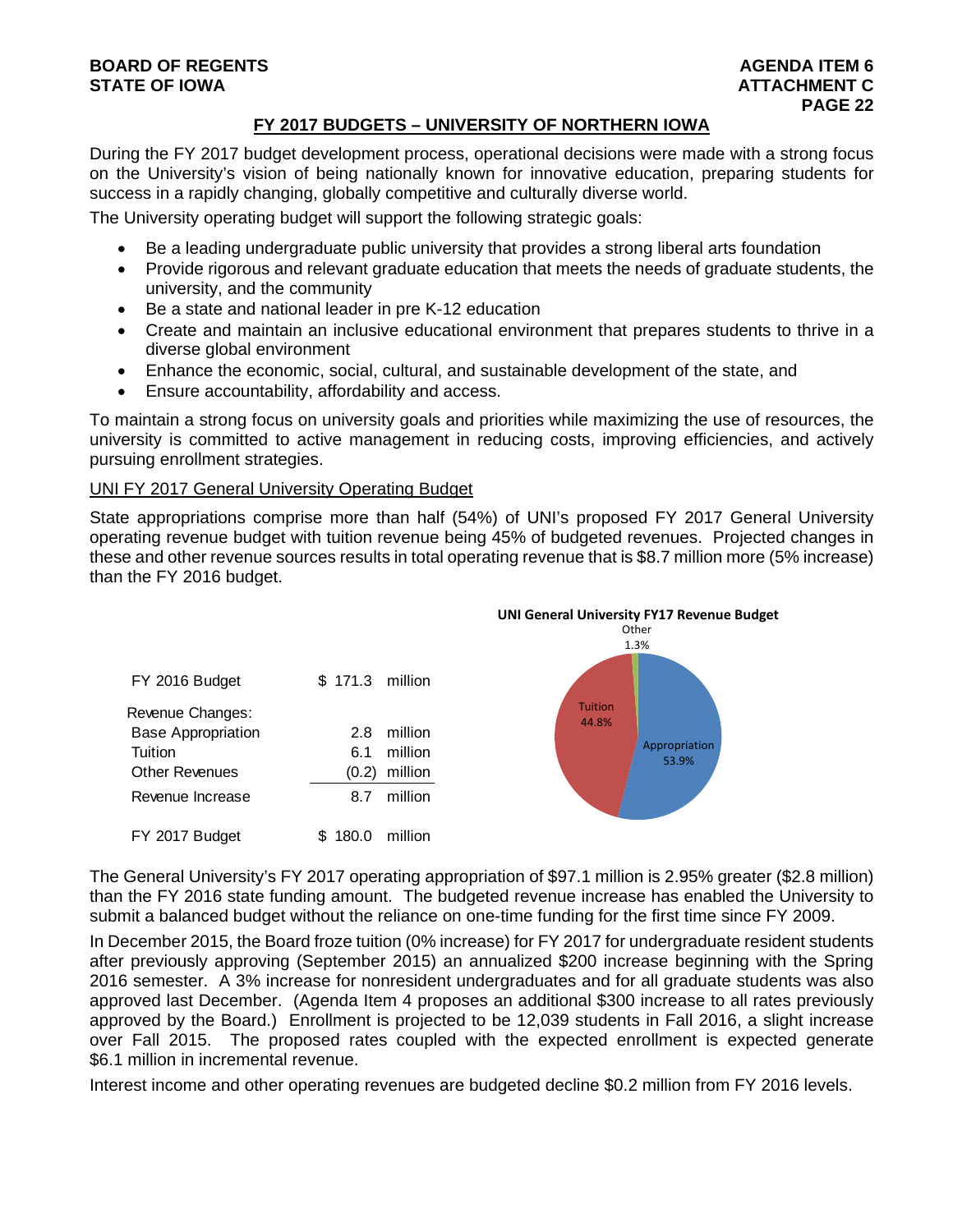#### **BOARD OF REGENTS AGENTS** AGENERATION OF REGENTS **STATE OF IOWA ATTACHMENT C**  $\blacksquare$

#### **FY 2017 BUDGETS – UNIVERSITY OF NORTHERN IOWA**

During the FY 2017 budget development process, operational decisions were made with a strong focus on the University's vision of being nationally known for innovative education, preparing students for success in a rapidly changing, globally competitive and culturally diverse world.

The University operating budget will support the following strategic goals:

- Be a leading undergraduate public university that provides a strong liberal arts foundation
- Provide rigorous and relevant graduate education that meets the needs of graduate students, the university, and the community
- Be a state and national leader in pre K-12 education
- Create and maintain an inclusive educational environment that prepares students to thrive in a diverse global environment
- Enhance the economic, social, cultural, and sustainable development of the state, and
- Ensure accountability, affordability and access.

To maintain a strong focus on university goals and priorities while maximizing the use of resources, the university is committed to active management in reducing costs, improving efficiencies, and actively pursuing enrollment strategies.

#### UNI FY 2017 General University Operating Budget

State appropriations comprise more than half (54%) of UNI's proposed FY 2017 General University operating revenue budget with tuition revenue being 45% of budgeted revenues. Projected changes in these and other revenue sources results in total operating revenue that is \$8.7 million more (5% increase) than the FY 2016 budget.



The General University's FY 2017 operating appropriation of \$97.1 million is 2.95% greater (\$2.8 million) than the FY 2016 state funding amount. The budgeted revenue increase has enabled the University to submit a balanced budget without the reliance on one-time funding for the first time since FY 2009.

In December 2015, the Board froze tuition (0% increase) for FY 2017 for undergraduate resident students after previously approving (September 2015) an annualized \$200 increase beginning with the Spring 2016 semester. A 3% increase for nonresident undergraduates and for all graduate students was also approved last December. (Agenda Item 4 proposes an additional \$300 increase to all rates previously approved by the Board.) Enrollment is projected to be 12,039 students in Fall 2016, a slight increase over Fall 2015. The proposed rates coupled with the expected enrollment is expected generate \$6.1 million in incremental revenue.

Interest income and other operating revenues are budgeted decline \$0.2 million from FY 2016 levels.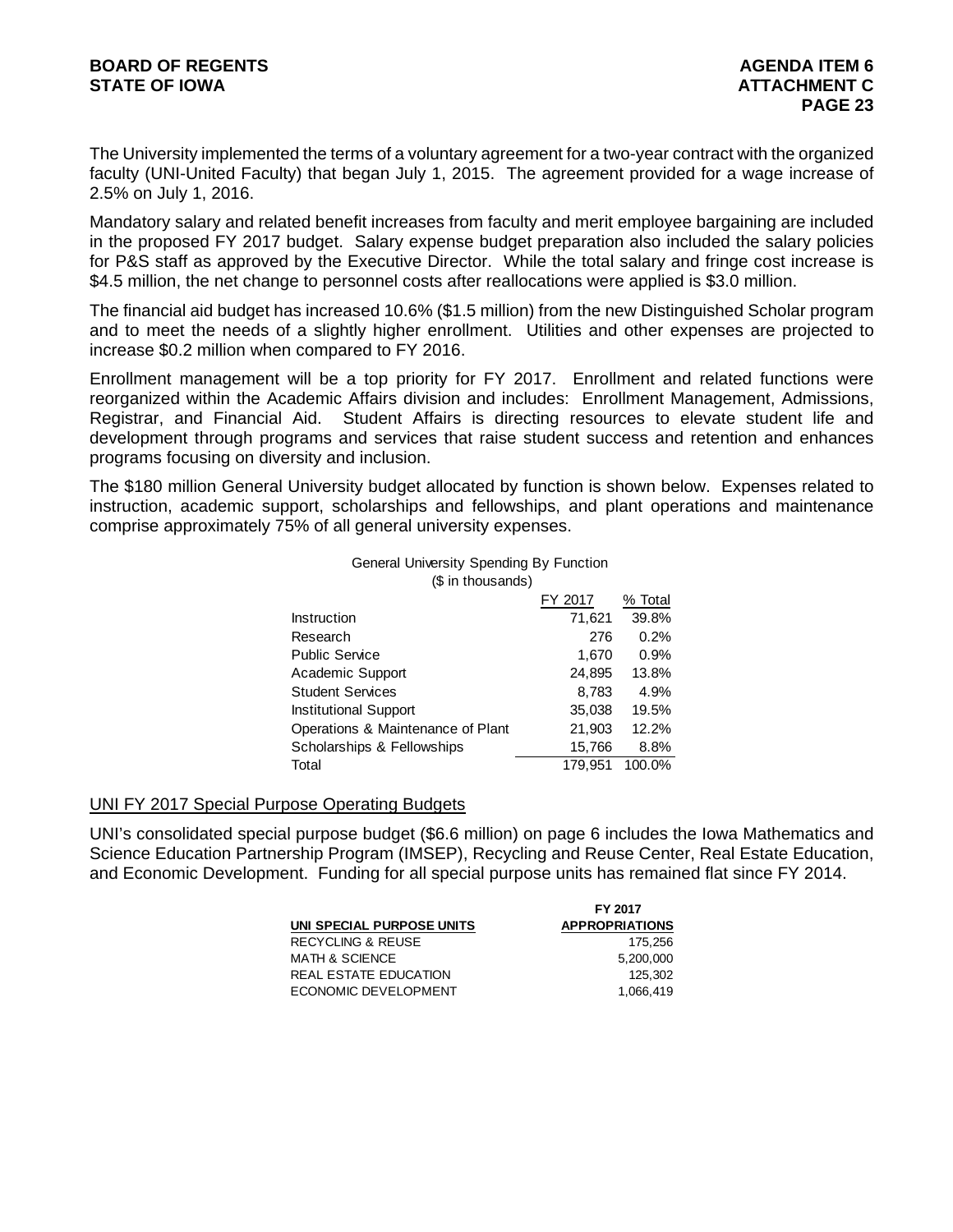The University implemented the terms of a voluntary agreement for a two-year contract with the organized faculty (UNI-United Faculty) that began July 1, 2015. The agreement provided for a wage increase of 2.5% on July 1, 2016.

Mandatory salary and related benefit increases from faculty and merit employee bargaining are included in the proposed FY 2017 budget. Salary expense budget preparation also included the salary policies for P&S staff as approved by the Executive Director. While the total salary and fringe cost increase is \$4.5 million, the net change to personnel costs after reallocations were applied is \$3.0 million.

The financial aid budget has increased 10.6% (\$1.5 million) from the new Distinguished Scholar program and to meet the needs of a slightly higher enrollment. Utilities and other expenses are projected to increase \$0.2 million when compared to FY 2016.

Enrollment management will be a top priority for FY 2017. Enrollment and related functions were reorganized within the Academic Affairs division and includes: Enrollment Management, Admissions, Registrar, and Financial Aid. Student Affairs is directing resources to elevate student life and development through programs and services that raise student success and retention and enhances programs focusing on diversity and inclusion.

The \$180 million General University budget allocated by function is shown below. Expenses related to instruction, academic support, scholarships and fellowships, and plant operations and maintenance comprise approximately 75% of all general university expenses.

#### General University Spending By Function (\$ in thousands)

|                                   | FY 2017 | % Total |
|-----------------------------------|---------|---------|
| Instruction                       | 71,621  | 39.8%   |
| Research                          | 276     | 0.2%    |
| <b>Public Service</b>             | 1,670   | 0.9%    |
| Academic Support                  | 24,895  | 13.8%   |
| <b>Student Services</b>           | 8,783   | 4.9%    |
| <b>Institutional Support</b>      | 35,038  | 19.5%   |
| Operations & Maintenance of Plant | 21,903  | 12.2%   |
| Scholarships & Fellowships        | 15,766  | 8.8%    |
| Total                             | 179.951 | 100.0%  |

#### UNI FY 2017 Special Purpose Operating Budgets

UNI's consolidated special purpose budget (\$6.6 million) on page 6 includes the Iowa Mathematics and Science Education Partnership Program (IMSEP), Recycling and Reuse Center, Real Estate Education, and Economic Development. Funding for all special purpose units has remained flat since FY 2014.

| FY 2017               |
|-----------------------|
| <b>APPROPRIATIONS</b> |
| 175.256               |
| 5.200.000             |
| 125.302               |
| 1.066.419             |
|                       |

**FY 2017**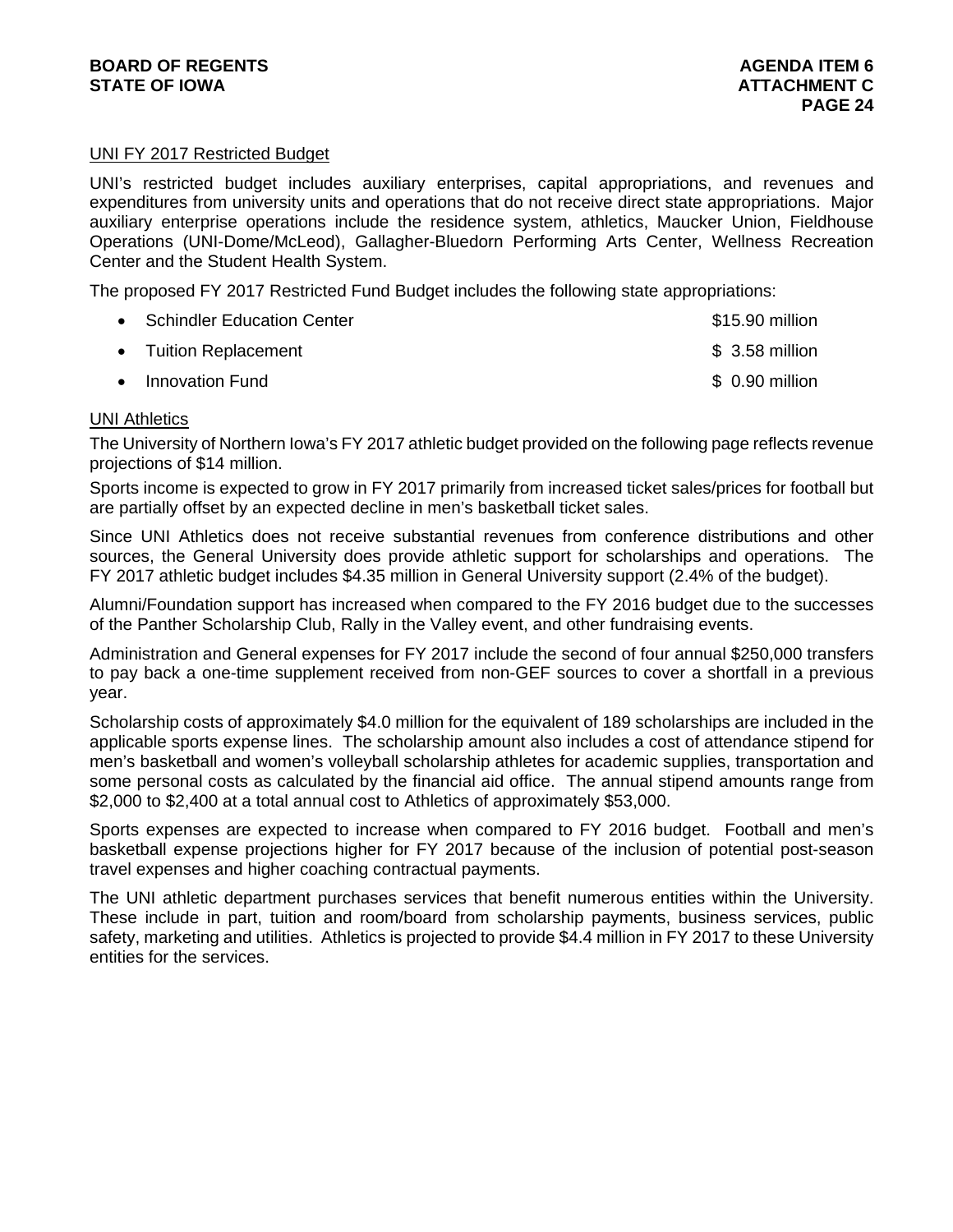#### UNI FY 2017 Restricted Budget

UNI's restricted budget includes auxiliary enterprises, capital appropriations, and revenues and expenditures from university units and operations that do not receive direct state appropriations. Major auxiliary enterprise operations include the residence system, athletics, Maucker Union, Fieldhouse Operations (UNI-Dome/McLeod), Gallagher-Bluedorn Performing Arts Center, Wellness Recreation Center and the Student Health System.

The proposed FY 2017 Restricted Fund Budget includes the following state appropriations:

| • Schindler Education Center | \$15.90 million |
|------------------------------|-----------------|
| • Tuition Replacement        | $$3.58$ million |
| • Innovation Fund            | \$ 0.90 million |

#### **UNI Athletics**

The University of Northern Iowa's FY 2017 athletic budget provided on the following page reflects revenue projections of \$14 million.

Sports income is expected to grow in FY 2017 primarily from increased ticket sales/prices for football but are partially offset by an expected decline in men's basketball ticket sales.

Since UNI Athletics does not receive substantial revenues from conference distributions and other sources, the General University does provide athletic support for scholarships and operations. The FY 2017 athletic budget includes \$4.35 million in General University support (2.4% of the budget).

Alumni/Foundation support has increased when compared to the FY 2016 budget due to the successes of the Panther Scholarship Club, Rally in the Valley event, and other fundraising events.

Administration and General expenses for FY 2017 include the second of four annual \$250,000 transfers to pay back a one-time supplement received from non-GEF sources to cover a shortfall in a previous year.

Scholarship costs of approximately \$4.0 million for the equivalent of 189 scholarships are included in the applicable sports expense lines. The scholarship amount also includes a cost of attendance stipend for men's basketball and women's volleyball scholarship athletes for academic supplies, transportation and some personal costs as calculated by the financial aid office. The annual stipend amounts range from \$2,000 to \$2,400 at a total annual cost to Athletics of approximately \$53,000.

Sports expenses are expected to increase when compared to FY 2016 budget. Football and men's basketball expense projections higher for FY 2017 because of the inclusion of potential post-season travel expenses and higher coaching contractual payments.

The UNI athletic department purchases services that benefit numerous entities within the University. These include in part, tuition and room/board from scholarship payments, business services, public safety, marketing and utilities. Athletics is projected to provide \$4.4 million in FY 2017 to these University entities for the services.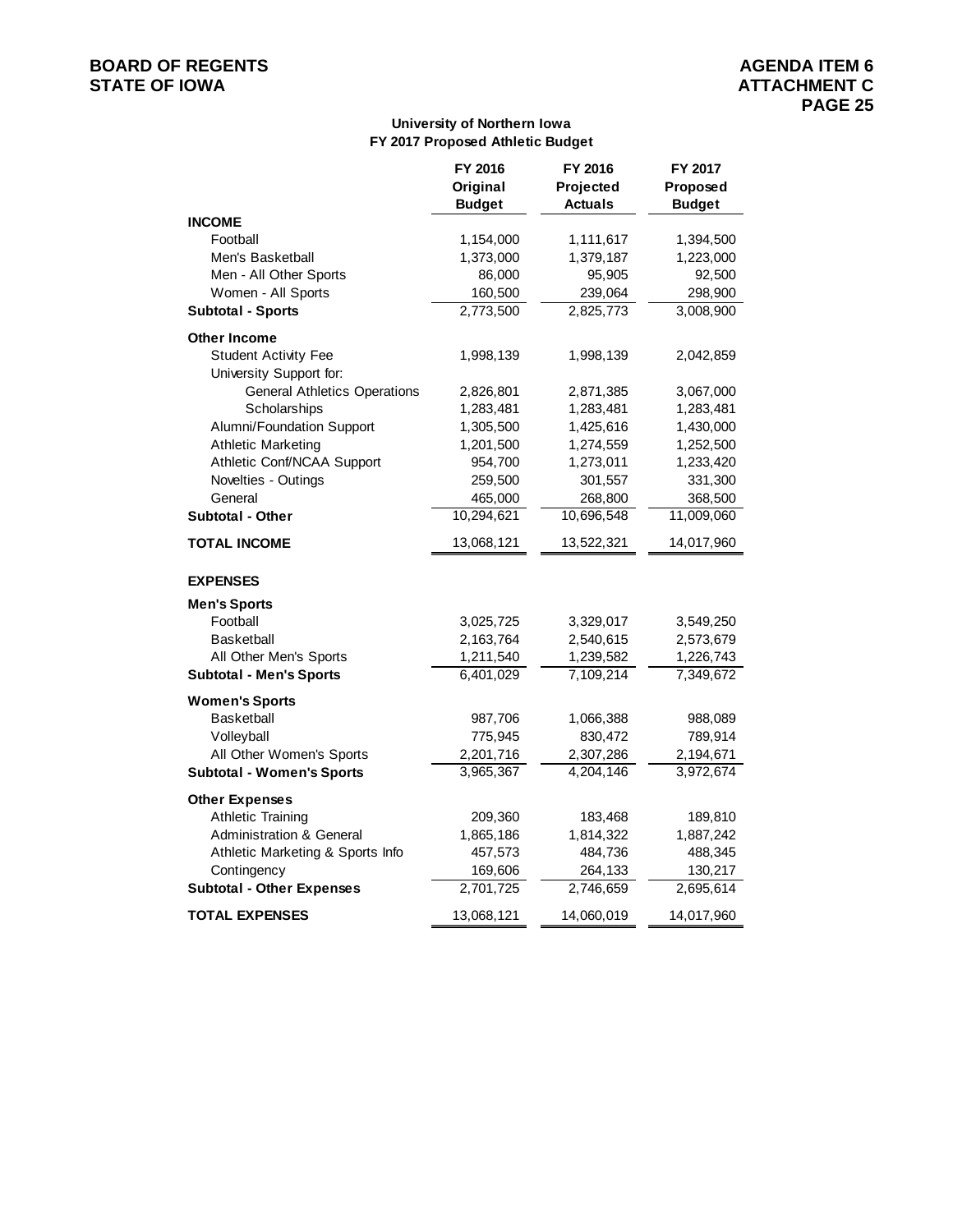## **BOARD OF REGENTS**<br> **BOARD OF REGENTS**<br> **STATE OF IOWA**<br> **ATTACHMENT C**

#### **University of Northern Iowa FY 2017 Proposed Athletic Budget**

|                                     | FY 2016<br>Original | FY 2016<br>Projected | FY 2017<br>Proposed |  |
|-------------------------------------|---------------------|----------------------|---------------------|--|
|                                     | <b>Budget</b>       | <b>Actuals</b>       | <b>Budget</b>       |  |
| <b>INCOME</b>                       |                     |                      |                     |  |
| Football                            | 1,154,000           | 1,111,617            | 1,394,500           |  |
| Men's Basketball                    | 1,373,000           | 1,379,187            | 1,223,000           |  |
| Men - All Other Sports              | 86,000              | 95,905               | 92,500              |  |
| Women - All Sports                  | 160,500             | 239,064              | 298,900             |  |
| <b>Subtotal - Sports</b>            | 2,773,500           | 2,825,773            | 3,008,900           |  |
| <b>Other Income</b>                 |                     |                      |                     |  |
| <b>Student Activity Fee</b>         | 1,998,139           | 1,998,139            | 2,042,859           |  |
| University Support for:             |                     |                      |                     |  |
| <b>General Athletics Operations</b> | 2,826,801           | 2,871,385            | 3,067,000           |  |
| Scholarships                        | 1,283,481           | 1,283,481            | 1,283,481           |  |
| Alumni/Foundation Support           | 1,305,500           | 1,425,616            | 1,430,000           |  |
| <b>Athletic Marketing</b>           | 1,201,500           | 1,274,559            | 1,252,500           |  |
| Athletic Conf/NCAA Support          | 954,700             | 1,273,011            | 1,233,420           |  |
| Novelties - Outings                 | 259,500             | 301,557              | 331,300             |  |
| General                             | 465,000             | 268,800              | 368,500             |  |
| <b>Subtotal - Other</b>             | 10,294,621          | 10,696,548           | 11,009,060          |  |
| <b>TOTAL INCOME</b>                 | 13,068,121          | 13,522,321           | 14,017,960          |  |
| <b>EXPENSES</b>                     |                     |                      |                     |  |
| <b>Men's Sports</b>                 |                     |                      |                     |  |
| Football                            | 3,025,725           | 3,329,017            | 3,549,250           |  |
| <b>Basketball</b>                   | 2,163,764           | 2,540,615            | 2,573,679           |  |
| All Other Men's Sports              | 1,211,540           | 1,239,582            | 1,226,743           |  |
| <b>Subtotal - Men's Sports</b>      | 6,401,029           | 7,109,214            | 7,349,672           |  |
| <b>Women's Sports</b>               |                     |                      |                     |  |
| <b>Basketball</b>                   | 987,706             | 1,066,388            | 988,089             |  |
| Volleyball                          | 775,945             | 830,472              | 789,914             |  |
| All Other Women's Sports            | 2,201,716           | 2,307,286            | 2,194,671           |  |
| <b>Subtotal - Women's Sports</b>    | 3,965,367           | 4,204,146            | 3,972,674           |  |
| <b>Other Expenses</b>               |                     |                      |                     |  |
| <b>Athletic Training</b>            | 209,360             | 183,468              | 189,810             |  |
| <b>Administration &amp; General</b> | 1,865,186           | 1,814,322            | 1,887,242           |  |
| Athletic Marketing & Sports Info    | 457,573             | 484,736              | 488,345             |  |
| Contingency                         | 169,606             | 264,133              | 130,217             |  |
| <b>Subtotal - Other Expenses</b>    | 2,701,725           | 2,746,659            | 2,695,614           |  |
| <b>TOTAL EXPENSES</b>               | 13,068,121          | 14,060,019           | 14,017,960          |  |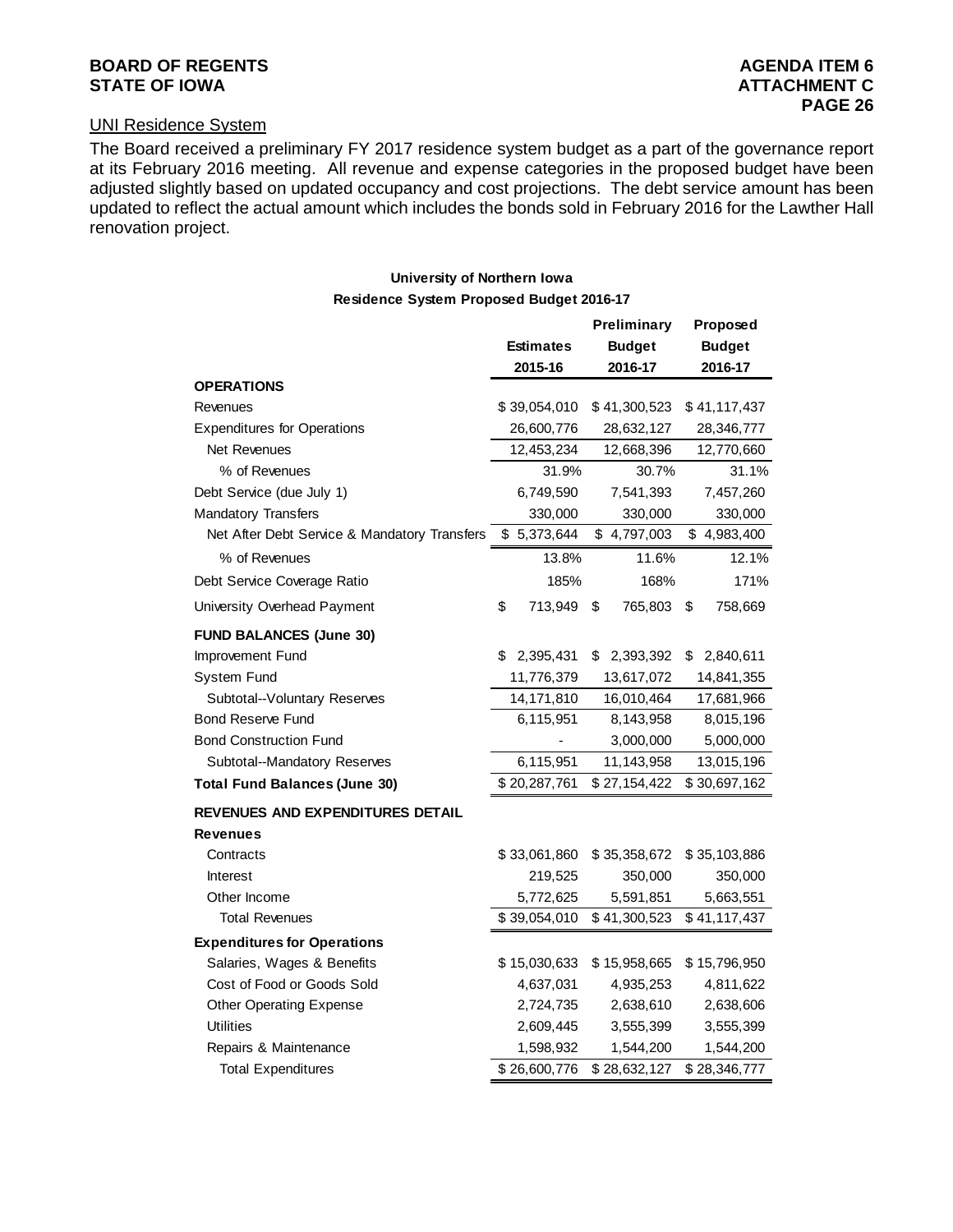## **BOARD OF REGENTS** AGENERATION AGENERATION OF REGENTS

**Preliminary Proposed**

#### UNI Residence System

The Board received a preliminary FY 2017 residence system budget as a part of the governance report at its February 2016 meeting. All revenue and expense categories in the proposed budget have been adjusted slightly based on updated occupancy and cost projections. The debt service amount has been updated to reflect the actual amount which includes the bonds sold in February 2016 for the Lawther Hall renovation project.

#### **University of Northern Iowa Residence System Proposed Budget 2016-17**

| Residence System Proposed Budget 2010-17 |  |  |
|------------------------------------------|--|--|
|                                          |  |  |

|                                              | <b>Estimates</b><br>2015-16 |              | <b>Budget</b><br>2016-17 |              | <b>Budget</b><br>2016-17 |              |
|----------------------------------------------|-----------------------------|--------------|--------------------------|--------------|--------------------------|--------------|
| OPERATIONS                                   |                             |              |                          |              |                          |              |
| Revenues                                     |                             | \$39,054,010 |                          | \$41,300,523 |                          | \$41,117,437 |
| <b>Expenditures for Operations</b>           |                             | 26,600,776   |                          | 28,632,127   |                          | 28,346,777   |
| Net Revenues                                 |                             | 12,453,234   | 12,668,396               |              | 12,770,660               |              |
| % of Revenues                                |                             | 31.9%        |                          | 30.7%        |                          | 31.1%        |
| Debt Service (due July 1)                    |                             | 6,749,590    |                          | 7,541,393    |                          | 7,457,260    |
| Mandatory Transfers                          |                             | 330,000      |                          | 330,000      | 330,000                  |              |
| Net After Debt Service & Mandatory Transfers |                             | \$5,373,644  |                          | \$4,797,003  |                          | \$4,983,400  |
| % of Revenues                                |                             | 13.8%        |                          | 11.6%        |                          | 12.1%        |
| Debt Service Coverage Ratio                  |                             | 185%         |                          | 168%         |                          | 171%         |
| University Overhead Payment                  | \$                          | 713,949      | \$                       | 765,803      | \$                       | 758,669      |
| <b>FUND BALANCES (June 30)</b>               |                             |              |                          |              |                          |              |
| Improvement Fund                             | \$                          | 2,395,431    | \$                       | 2,393,392    | \$                       | 2,840,611    |
| <b>System Fund</b>                           |                             | 11,776,379   |                          | 13,617,072   |                          | 14,841,355   |
| Subtotal--Voluntary Reserves                 |                             | 14,171,810   |                          | 16,010,464   |                          | 17,681,966   |
| <b>Bond Reserve Fund</b>                     |                             | 6,115,951    | 8,143,958                |              |                          | 8,015,196    |
| <b>Bond Construction Fund</b>                | 3,000,000                   |              |                          | 5,000,000    |                          |              |
| Subtotal--Mandatory Reserves                 | 6,115,951                   |              | 11,143,958               |              |                          | 13,015,196   |
| <b>Total Fund Balances (June 30)</b>         |                             | \$20,287,761 | \$27,154,422             |              | \$30,697,162             |              |
| REVENUES AND EXPENDITURES DETAIL             |                             |              |                          |              |                          |              |
| <b>Revenues</b>                              |                             |              |                          |              |                          |              |
| Contracts                                    |                             | \$33,061,860 |                          | \$35,358,672 |                          | \$35,103,886 |
| Interest                                     |                             | 219,525      |                          | 350,000      |                          | 350,000      |
| Other Income                                 |                             | 5,772,625    |                          | 5,591,851    |                          | 5,663,551    |
| <b>Total Revenues</b>                        |                             | \$39,054,010 |                          | \$41,300,523 |                          | \$41,117,437 |
| <b>Expenditures for Operations</b>           |                             |              |                          |              |                          |              |
| Salaries, Wages & Benefits                   |                             | \$15,030,633 |                          | \$15,958,665 |                          | \$15,796,950 |
| Cost of Food or Goods Sold                   |                             | 4,637,031    |                          | 4,935,253    |                          | 4,811,622    |
| <b>Other Operating Expense</b>               |                             | 2,724,735    |                          | 2,638,610    |                          | 2,638,606    |
| <b>Utilities</b>                             |                             | 2,609,445    |                          | 3,555,399    |                          | 3,555,399    |
| Repairs & Maintenance                        |                             | 1,598,932    |                          | 1,544,200    |                          | 1,544,200    |
| <b>Total Expenditures</b>                    |                             | \$26,600,776 |                          | \$28,632,127 |                          | \$28,346,777 |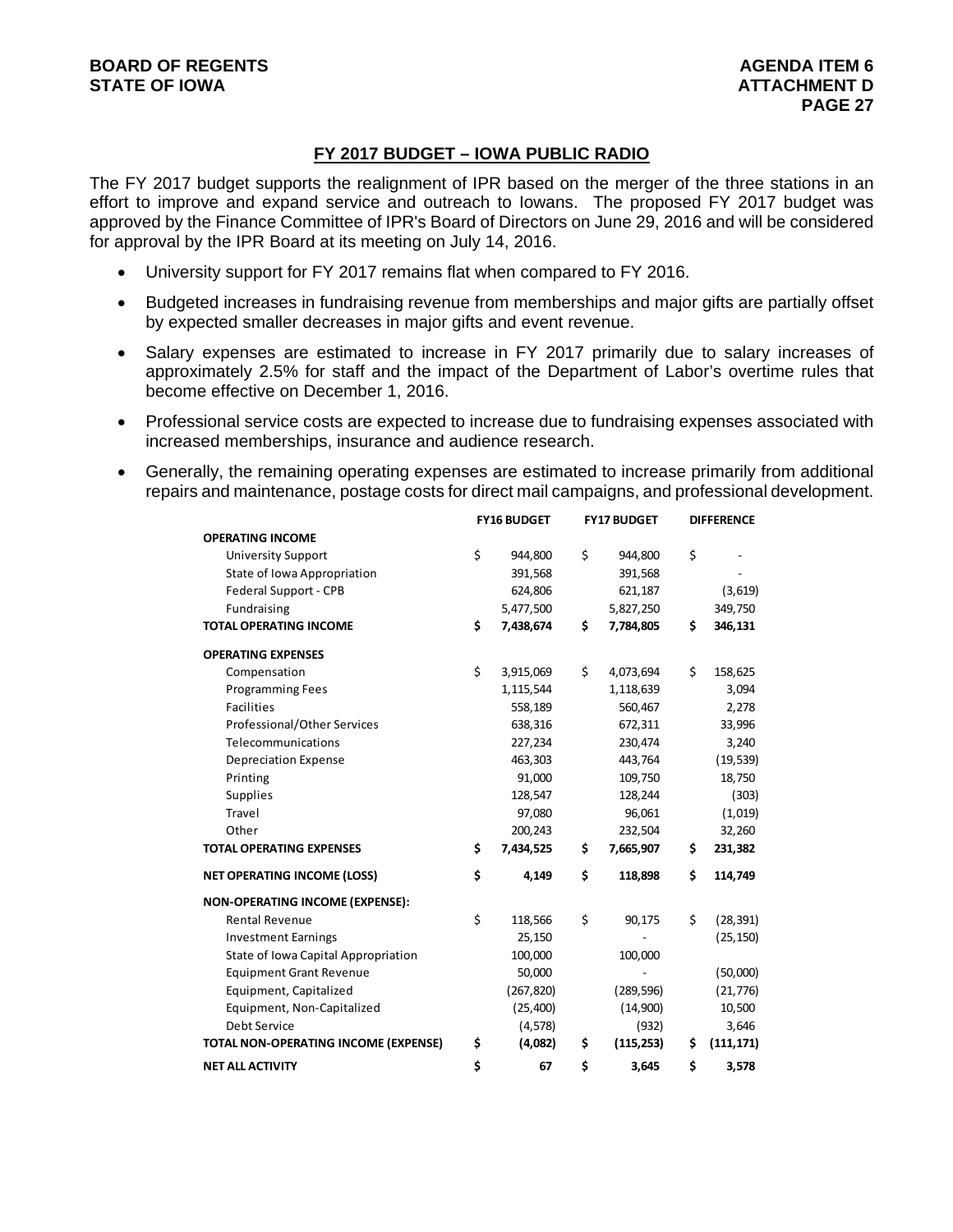#### **FY 2017 BUDGET – IOWA PUBLIC RADIO**

The FY 2017 budget supports the realignment of IPR based on the merger of the three stations in an effort to improve and expand service and outreach to Iowans. The proposed FY 2017 budget was approved by the Finance Committee of IPR's Board of Directors on June 29, 2016 and will be considered for approval by the IPR Board at its meeting on July 14, 2016.

- University support for FY 2017 remains flat when compared to FY 2016.
- Budgeted increases in fundraising revenue from memberships and major gifts are partially offset by expected smaller decreases in major gifts and event revenue.
- Salary expenses are estimated to increase in FY 2017 primarily due to salary increases of approximately 2.5% for staff and the impact of the Department of Labor's overtime rules that become effective on December 1, 2016.
- Professional service costs are expected to increase due to fundraising expenses associated with increased memberships, insurance and audience research.
- Generally, the remaining operating expenses are estimated to increase primarily from additional repairs and maintenance, postage costs for direct mail campaigns, and professional development.

|                                        | <b>FY16 BUDGET</b> |            | <b>FY17 BUDGET</b> |            | <b>DIFFERENCE</b> |            |
|----------------------------------------|--------------------|------------|--------------------|------------|-------------------|------------|
| <b>OPERATING INCOME</b>                |                    |            |                    |            |                   |            |
| <b>University Support</b>              | \$                 | 944,800    | \$                 | 944,800    | \$                |            |
| State of Iowa Appropriation            |                    | 391,568    |                    | 391,568    |                   |            |
| Federal Support - CPB                  |                    | 624,806    |                    | 621,187    |                   | (3,619)    |
| Fundraising                            |                    | 5,477,500  |                    | 5,827,250  |                   | 349,750    |
| <b>TOTAL OPERATING INCOME</b>          | \$                 | 7,438,674  | \$                 | 7,784,805  | \$                | 346,131    |
| <b>OPERATING EXPENSES</b>              |                    |            |                    |            |                   |            |
| Compensation                           | \$                 | 3,915,069  | \$                 | 4,073,694  | \$                | 158,625    |
| <b>Programming Fees</b>                |                    | 1,115,544  |                    | 1,118,639  |                   | 3,094      |
| <b>Facilities</b>                      |                    | 558,189    |                    | 560,467    |                   | 2,278      |
| Professional/Other Services            |                    | 638,316    |                    | 672,311    |                   | 33,996     |
| Telecommunications                     |                    | 227,234    |                    | 230,474    |                   | 3,240      |
| Depreciation Expense                   |                    | 463,303    |                    | 443,764    |                   | (19, 539)  |
| Printing                               |                    | 91,000     |                    | 109,750    |                   | 18,750     |
| <b>Supplies</b>                        |                    | 128,547    |                    | 128,244    |                   | (303)      |
| Travel                                 |                    | 97,080     |                    | 96,061     |                   | (1,019)    |
| Other                                  |                    | 200,243    |                    | 232,504    |                   | 32,260     |
| <b>TOTAL OPERATING EXPENSES</b>        |                    | 7,434,525  | \$                 | 7,665,907  | \$                | 231,382    |
| <b>NET OPERATING INCOME (LOSS)</b>     |                    | 4,149      | \$                 | 118,898    | \$                | 114,749    |
| <b>NON-OPERATING INCOME (EXPENSE):</b> |                    |            |                    |            |                   |            |
| <b>Rental Revenue</b>                  | \$                 | 118,566    | \$                 | 90,175     | \$                | (28, 391)  |
| <b>Investment Earnings</b>             |                    | 25,150     |                    |            |                   | (25, 150)  |
| State of Iowa Capital Appropriation    |                    | 100,000    |                    | 100,000    |                   |            |
| <b>Equipment Grant Revenue</b>         |                    | 50,000     |                    |            |                   | (50,000)   |
| Equipment, Capitalized                 |                    | (267, 820) |                    | (289, 596) |                   | (21, 776)  |
| Equipment, Non-Capitalized             |                    | (25, 400)  |                    | (14,900)   |                   | 10,500     |
| <b>Debt Service</b>                    |                    | (4, 578)   |                    | (932)      |                   | 3,646      |
| TOTAL NON-OPERATING INCOME (EXPENSE)   | \$                 | (4,082)    | \$                 | (115, 253) | \$                | (111, 171) |
| <b>NET ALL ACTIVITY</b>                | \$                 | 67         | \$                 | 3,645      | \$                | 3,578      |